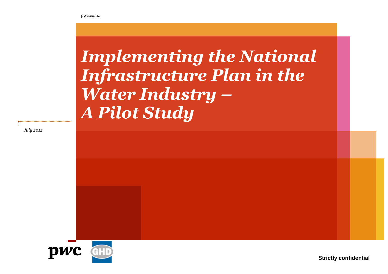# *Implementing the National Infrastructure Plan in the Water Industry – A Pilot Study*

*July 2012*



**Strictly confidential**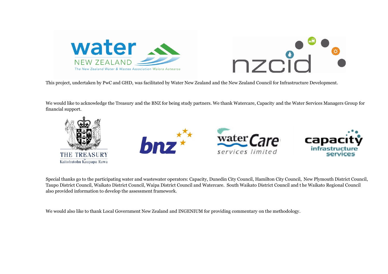



This project, undertaken by PwC and GHD, was facilitated by Water New Zealand and the New Zealand Council for Infrastructure Development.

This project, undertaken by PwC and GHD, was facilitated by Water New Zealand and the New Zealand Council for Infrastructure Development.<br>We would like to acknowledge the Treasury and the BNZ for being study partners. We t financial support.



Special thanks go to the participating water and wastewater operators: Capacity, Dunedin City Council, Hamilton City Council, New Plymouth District Council, Taupo District Council, Waikato District Council, Waipa District Council and Watercare. South Waikato District Council and t also provided information to develop the assessment framework. thanks go to the participating water and wastewater operators: Capacity, Dunedin City Council, Hamilton City Council, N<br>District Council, Waikato District Council, Waipa District Council and Watercare. South Waikato Distri he Waikato Regional Council

We would also like to thank Local Government New Zealand and INGENIUM for providing commentary on the methodology.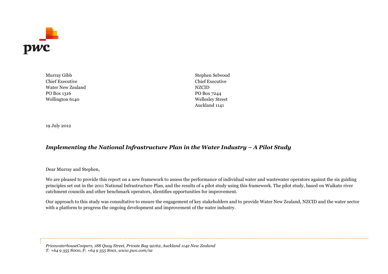

Chief Executive Chief Executive Water New Zealand NZCID PO Box 1316 PO Box 7244 Wellington 6140 Wellesley Street

Murray Gibb Stephen Selwood Auckland 1141

19 July 2012

#### *Implementing the National Infrastructure Plan in the Water Industry – A Pilot Study*

#### Dear Murray and Stephen,

We are pleased to provide this report on a new framework to assess the performance of individual water and wastewater operators against the six guiding principles set out in the 2011 National Infrastructure Plan, and the results of a pilot study using this framework. The pilot study, based on Waikato river catchment councils and other benchmark operators, identifies opportunities for improvement.

Our approach to this study was consultative to ensure the engagement of key stakeholders and to provide Water New Zealand, NZCID and the water sector with a platform to progress the ongoing development and improvement of the water industry.

*PricewaterhouseCoopers, 188 Quay Street, Private Bag 92162, Auckland 1142 New Zealand T: +64 9 355 8000, F: +64 9 355 8001, www.pwc.com/nz*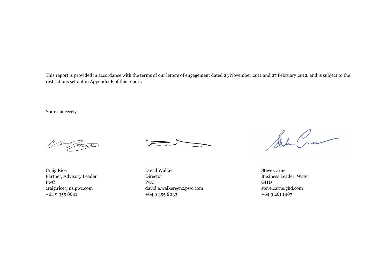This report is provided in accordance with the terms of our letters of engagement dated 23 November 2011 and 27 February 2012, and is subject to the restrictions set outin [Appendix F](#page-53-0) of this report.

Yours sincerely

<u> 1 Stel</u>



Craig Rice David Walker Steve Carne Partner, Advisory Leader Director Director Business Leader, Water PwC GHD craig.rice@nz.pwc.com david.a.walker@nz.pwc.com steve.carne.ghd.com +64 9 355 8641 +64 9 355 8033 +64 9 361 1487

State Cre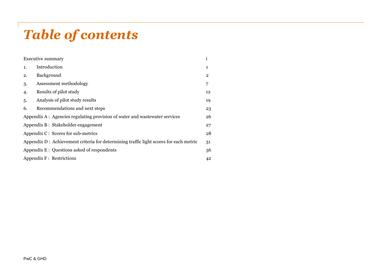## *Table of contents*

|    | <b>Executive summary</b>                                                              | 1              |
|----|---------------------------------------------------------------------------------------|----------------|
| 1. | Introduction                                                                          | 1              |
| 2. | Background                                                                            | $\overline{2}$ |
| 3. | Assessment methodology                                                                | 7              |
| 4. | Results of pilot study                                                                | 12             |
| 5. | Analysis of pilot study results                                                       | 19             |
| 6. | Recommendations and next steps                                                        | 23             |
|    | Appendix A: Agencies regulating provision of water and was tewater services           | 26             |
|    | Appendix B: Stakeholder engagement                                                    | 27             |
|    | Appendix C: Scores for sub-metrics                                                    | 28             |
|    | Appendix D: Achievement criteria for determining traffic light scores for each metric | 31             |
|    | Appendix E : Questions asked of respondents                                           | 36             |
|    | Appendix F : Restrictions                                                             | 42             |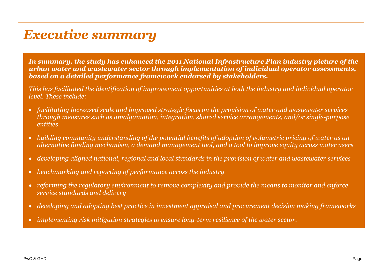## <span id="page-5-0"></span>*Executive summary*

*In summary, the study has enhanced the 2011 National Infrastructure Plan industry picture of the urban water and wastewater sector through implementation of individual operator assessments, based on a detailed performance framework endorsed by stakeholders.*

*This has facilitated the identification of improvement opportunities at both the industry and individual operator level. These include:*

- *facilitating increased scale and improved strategic focus on the provision of water and wastewater services through measures such as amalgamation, integration, shared service arrangements, and/or single-purpose entities*
- *building community understanding of the potential benefits of adoption of volumetric pricing of water as an alternative funding mechanism, a demand management tool, and a tool to improve equity across water users*
- *developing aligned national, regional and local standards in the provision of water and wastewater services*
- *benchmarking and reporting of performance across the industry*
- *reforming the regulatory environment to remove complexity and provide the means to monitor and enforce service standards and delivery*
- *developing and adopting best practice in investment appraisal and procurement decision making frameworks*
- *implementing risk mitigation strategies to ensure long-term resilience of the water sector.*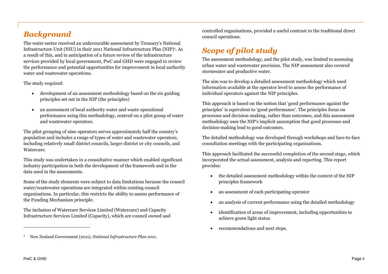## *Background*

The water sector received an unfavourable assessment by Treasury's National Infrastructure Unit (NIU) in their 2011 National Infrastructure Plan (NIP)<sup>1</sup> . As a result of this, and in anticipation of a future review of the infrastructure services provided by local government, PwC and GHD were engaged to review the performance and potential opportunities for improvement in local authority water and wastewater operations.

The study required:

- development of an assessment methodology based on the six guiding principles set out in the NIP (the principles)
- an assessment of local authority water and waste operational performance using this methodology, centred on a pilot group of water and wastewater operators.

The pilot grouping of nine operators serves approximately half the country's population and includes a range of types of water and wastewater operators, including relatively small district councils, larger district or city councils, and Watercare.

This study was undertaken in a consultative manner which enabled significant industry participation in both the development of the framework and in the data used in the assessments.

Some of the study elements were subject to data limitations because the council water/wastewater operations are integrated within existing council organisations. In particular, this restricts the ability to assess performance of the Funding Mechanism principle.

The inclusion of Watercare Services Limited (Watercare) and Capacity Infrastructure Services Limited (Capacity), which are council owned and controlled organisations, provided a useful contrast to the traditional direct council operations.

## *Scope of pilot study*

The assessment methodology, and the pilot study, was limited to assessing urban water and wastewater provision. The NIP assessment also covered stormwater and productive water.

The aim was to develop a detailed assessment methodology which used information available at the operator level to assess the performance of individual operators against the NIP principles.

This approach is based on the notion that 'good performance against the principles' is equivalent to 'good performance'. The principles focus on processes and decision-making, rather than outcomes, and this assessment methodology uses the NIP's implicit assumption that good processes and decision-making lead to good outcomes.

The detailed methodology was developed through workshops and face-to-face consultation meetings with the participating organisations.

This approach facilitated the successful completion of the second stage, which incorporated the actual assessment, analysis and reporting. This report provides:

- the detailed assessment methodology within the context of the NIP principles framework
- an assessment of each participating operator
- an analysis of current performance using the detailed methodology
- identification of areas of improvement, including opportunities to achieve green light status
- recommendations and next steps.

<sup>1</sup> New Zealand Government (2011), *National Infrastructure Plan 2011*.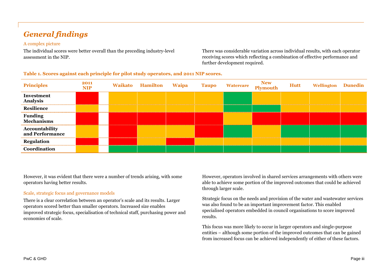## *General findings*

#### A complex picture

The individual scores were better overall than the preceding industry-level assessment in the NIP.

There was considerable variation across individual results, with each operator receiving scores which reflecting a combination of effective performance and further development required.

| <b>Principles</b>                        | 2011<br>NIP | Waikato Hamilton Waipa |  | <b>Taupo Watercare New New Reproduce Server</b> | Hutt | <b>Wellington Dunedin</b> |  |
|------------------------------------------|-------------|------------------------|--|-------------------------------------------------|------|---------------------------|--|
| Investment<br><b>Analysis</b>            |             |                        |  |                                                 |      |                           |  |
| Resilience                               |             |                        |  |                                                 |      |                           |  |
| <b>Funding<br/>Mechanisms</b>            |             |                        |  |                                                 |      |                           |  |
| <b>Accountability</b><br>and Performance |             |                        |  |                                                 |      |                           |  |
| Regulation                               |             |                        |  |                                                 |      |                           |  |
| Coordination                             |             |                        |  |                                                 |      |                           |  |

#### **Table 1. Scores against each principle for pilot study operators, and 2011 NIP scores.**

However, it was evident that there were a number of trends arising, with some operators having better results.

#### Scale, strategic focus and governance models

There is a clear correlation between an operator's scale and its results. Larger operators scored better than smaller operators. Increased size enables improved strategic focus, specialisation of technical staff, purchasing power and economies of scale.

However, operators involved in shared services arrangements with others were able to achieve some portion of the improved outcomes that could be achieved through larger scale.

Strategic focus on the needs and provision of the water and wastewater services was also found to be an important improvement factor. This enabled specialised operators embedded in council organisations to score improved results.

This focus was more likely to occur in larger operators and single-purpose entities – although some portion of the improved outcomes that can be gained from increased focus can be achieved independently of either of these factors.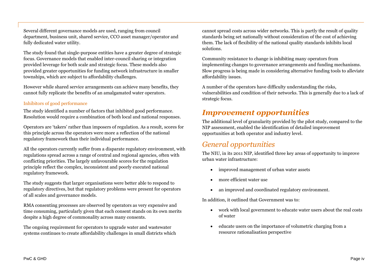Several different governance models are used, ranging from council department, business unit, shared service, CCO asset manager/operator and fully dedicated water utility.

The study found that single-purpose entities have a greater degree of strategic focus. Governance models that enabled inter-council sharing or integration provided leverage for both scale and strategic focus. These models also provided greater opportunities for funding network infrastructure in smaller townships, which are subject to affordability challenges.

However while shared service arrangements can achieve many benefits, they cannot fully replicate the benefits of an amalgamated water operators.

#### Inhibitors of good performance

The study identified a number of factors that inhibited good performance. Resolution would require a combination of both local and national responses.

Operators are 'takers' rather than imposers of regulation. As a result, scores for this principle across the operators were more a reflection of the national regulatory framework than their individual performance.

All the operators currently suffer from a disparate regulatory environment, with regulations spread across a range of central and regional agencies, often with conflicting priorities. The largely unfavourable scores for the regulation principle reflect the complex, inconsistent and poorly executed national regulatory framework.

The study suggests that larger organisations were better able to respond to regulatory directives, but that regulatory problems were present for operators of all scales and governance models.

RMA consenting processes are observed by operators as very expensive and time consuming, particularly given that each consent stands on its own merits despite a high degree of commonality across many consents.

The ongoing requirement for operators to upgrade water and wastewater systems continues to create affordability challenges in small districts which cannot spread costs across wider networks. This is partly the result of quality standards being set nationally without consideration of the cost of achieving them. The lack of flexibility of the national quality standards inhibits local solutions.

Community resistance to change is inhibiting many operators from implementing changes to governance arrangements and funding mechanisms. Slow progress is being made in considering alternative funding tools to alleviate affordability issues.

A number of the operators have difficulty understanding the risks, vulnerabilities and condition of their networks. This is generally due to a lack of strategic focus.

### *Improvement opportunities*

The additional level of granularity provided by the pilot study, compared to the NIP assessment, enabled the identification of detailed improvement opportunities at both operator and industry level.

### *General opportunities*

The NIU, in its 2011 NIP, identified three key areas of opportunity to improve urban water infrastructure:

- improved management of urban water assets
- more efficient water use
- an improved and coordinated regulatory environment.

In addition, it outlined that Government was to:

- work with local government to educate water users about the real costs of water
- educate users on the importance of volumetric charging from a resource rationalisation perspective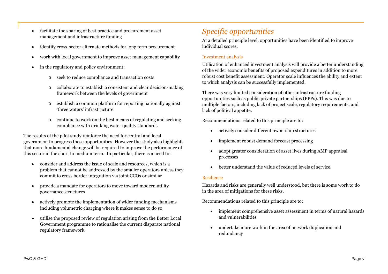- facilitate the sharing of best practice and procurement asset management and infrastructure funding
- identify cross-sector alternate methods for long term procurement
- work with local government to improve asset management capability
- in the regulatory and policy environment:
	- o seek to reduce compliance and transaction costs
	- o collaborate to establish a consistent and clear decision-making framework between the levels of government
	- o establish a common platform for reporting nationally against 'three waters' infrastructure
	- o continue to work on the best means of regulating and seeking compliance with drinking water quality standards.

The results of the pilot study reinforce the need for central and local government to progress these opportunities. However the study also highlights that more fundamental change will be required to improve the performance of this sector in the short to medium term. In particular, there is a need to:

- consider and address the issue of scale and resources, which is a problem that cannot be addressed by the smaller operators unless they commit to cross border integration via joint CCOs or similar
- provide a mandate for operators to move toward modern utility governance structures
- actively promote the implementation of wider funding mechanisms including volumetric charging where it makes sense to do so
- utilise the proposed review of regulation arising from the Better Local Government programme to rationalise the current disparate national regulatory framework.

## *Specific opportunities*

At a detailed principle level, opportunities have been identified to improve individual scores.

#### Investment analysis

Utilisation of enhanced investment analysis will provide a better understanding of the wider economic benefits of proposed expenditures in addition to more robust cost benefit assessment. Operator scale influences the ability and extent to which analysis can be successfully implemented.

There was very limited consideration of other infrastructure funding opportunities such as public private partnerships (PPPs). This was due to multiple factors, including lack of project scale, regulatory requirements, and lack of political appetite.

Recommendations related to this principle are to:

- actively consider different ownership structures
- implement robust demand forecast processing
- adopt greater consideration of asset lives during AMP appraisal processes
- better understand the value of reduced levels of service.

#### Resilience

Hazards and risks are generally well understood, but there is some work to do in the area of mitigations for these risks.

Recommendations related to this principle are to:

- implement comprehensive asset assessment in terms of natural hazards and vulnerabilities
- undertake more work in the area of network duplication and redundancy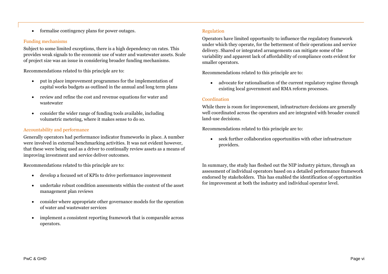formalise contingency plans for power outages.

#### Funding mechanisms

Subject to some limited exceptions, there is a high dependency on rates. This provides weak signals to the economic use of water and wastewater assets. Scale of project size was an issue in considering broader funding mechanisms.

Recommendations related to this principle are to:

- put in place improvement programmes for the implementation of capital works budgets as outlined in the annual and long term plans
- review and refine the cost and revenue equations for water and wastewater
- consider the wider range of funding tools available, including volumetric metering, where it makes sense to do so.

#### Accountability and performance

Generally operators had performance indicator frameworks in place. A number were involved in external benchmarking activities. It was not evident however, that these were being used as a driver to continually review assets as a means of improving investment and service deliver outcomes.

Recommendations related to this principle are to:

- develop a focused set of KPIs to drive performance improvement
- undertake robust condition assessments within the context of the asset management plan reviews
- consider where appropriate other governance models for the operation of water and wastewater services
- implement a consistent reporting framework that is comparable across operators.

#### Regulation

Operators have limited opportunity to influence the regulatory framework under which they operate, for the betterment of their operations and service delivery. Shared or integrated arrangements can mitigate some of the variability and apparent lack of affordability of compliance costs evident for smaller operators.

Recommendations related to this principle are to:

 advocate for rationalisation of the current regulatory regime through existing local government and RMA reform processes.

#### Coordination

While there is room for improvement, infrastructure decisions are generally well coordinated across the operators and are integrated with broader council land-use decisions.

Recommendations related to this principle are to:

 seek further collaboration opportunities with other infrastructure providers.

In summary, the study has fleshed out the NIP industry picture, through an assessment of individual operators based on a detailed performance framework endorsed by stakeholders. This has enabled the identification of opportunities for improvement at both the industry and individual operator level.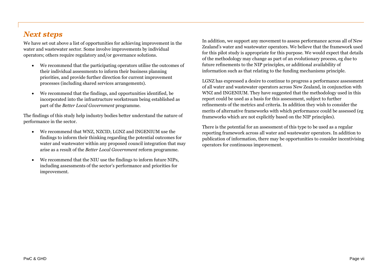## *Next steps*

We have set out above a list of opportunities for achieving improvement in the water and wastewater sector. Some involve improvements by individual operators; others require regulatory and/or governance solutions.

- We recommend that the participating operators utilise the outcomes of their individual assessments to inform their business planning priorities, and provide further direction for current improvement processes (including shared services arrangements).
- We recommend that the findings, and opportunities identified, be incorporated into the infrastructure workstream being established as part of the *Better Local Government* programme.

The findings of this study help industry bodies better understand the nature of performance in the sector.

- We recommend that WNZ, NZCID, LGNZ and INGENIUM use the findings to inform their thinking regarding the potential outcomes for water and wastewater within any proposed council integration that may arise as a result of the *Better Local Government* reform programme.
- We recommend that the NIU use the findings to inform future NIPs, including assessments of the sector's performance and priorities for improvement.

In addition, we support any movement to assess performance across all of New Zealand's water and wastewater operators. We believe that the framework used for this pilot study is appropriate for this purpose. We would expect that details of the methodology may change as part of an evolutionary process, eg due to future refinements to the NIP principles, or additional availability of information such as that relating to the funding mechanisms principle.

LGNZ has expressed a desire to continue to progress a performance assessment of all water and wastewater operators across New Zealand, in conjunction with WNZ and INGENIUM. They have suggested that the methodology used in this report could be used as a basis for this assessment, subject to further refinements of the metrics and criteria. In addition they wish to consider the merits of alternative frameworks with which performance could be assessed (eg frameworks which are not explicitly based on the NIP principles).

There is the potential for an assessment of this type to be used as a regular reporting framework across all water and wastewater operators. In addition to publication of information, there may be opportunities to consider incentivising operators for continuous improvement.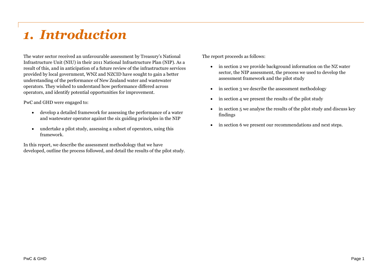## <span id="page-12-0"></span>*1. Introduction*

The water sector received an unfavourable assessment by Treasury's National Infrastructure Unit (NIU) in their 2011 National Infrastructure Plan (NIP). As a result of this, and in anticipation of a future review of the infrastructure services provided by local government, WNZ and NZCID have sought to gain a better understanding of the performance of New Zealand water and wastewater operators. They wished to understand how performance differed across operators, and identify potential opportunities for improvement.

PwC and GHD were engaged to:

- develop a detailed framework for assessing the performance of a water and wastewater operator against the six guiding principles in the NIP
- undertake a pilot study, assessing a subset of operators, using this framework.

In this report, we describe the assessment methodology that we have developed, outline the process followed, and detail the results of the pilot study. The report proceeds as follows:

- in section [2](#page-13-0) we provide background information on the NZ water sector, the NIP assessment, the process we used to develop the assessment framework and the pilot study
- in section [3](#page-18-0) we describe the assessment methodology
- $\bullet$  in section [4](#page-23-0) we present the results of the pilot study
- in section [5](#page-30-0) we analyse the results of the pilot study and discuss key findings
- in section [6](#page-34-0) we present our recommendations and next steps.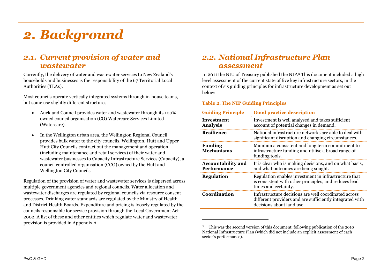## <span id="page-13-0"></span>*2. Background*

## *2.1. Current provision of water and wastewater*

Currently, the delivery of water and wastewater services to New Zealand's households and businesses is the responsibility of the 67 Territorial Local Authorities (TLAs).

Most councils operate vertically integrated systems through in-house teams, but some use slightly different structures.

- Auckland Council provides water and wastewater through its 100% owned council organisation (CO) Watercare Services Limited (Watercare).
- In the Wellington urban area, the Wellington Regional Council provides bulk water to the city councils. Wellington, Hutt and Upper Hutt City Councils contract out the management and operation (including maintenance and retail services) of their water and wastewater businesses to Capacity Infrastructure Services (Capacity), a council controlled organisation (CCO) owned by the Hutt and Wellington City Councils.

Regulation of the provision of water and wastewater services is dispersed across multiple government agencies and regional councils. Water allocation and wastewater discharges are regulated by regional councils via resource consent processes. Drinking water standards are regulated by the Ministry of Health and District Health Boards. Expenditure and pricing is loosely regulated by the councils responsible for service provision through the Local Government Act 2002. A list of these and other entities which regulate water and wastewater provision is providedin [Appendix A](#page-37-0).

### *2.2. National Infrastructure Plan assessment*

In 2011 the NIU of Treasury published the NIP.<sup>2</sup> This document included a high level assessment of the current state of five key infrastructure sectors, in the context of six guiding principles for infrastructure development as set out below:

#### **Table 2. The NIP Guiding Principles**

| <b>Guiding Principle</b>                 | <b>Good practice description</b>                                                                                                              |
|------------------------------------------|-----------------------------------------------------------------------------------------------------------------------------------------------|
| <b>Investment</b><br><b>Analysis</b>     | Investment is well analysed and takes sufficient<br>account of potential changes in demand.                                                   |
| <b>Resilience</b>                        | National infrastructure networks are able to deal with<br>significant disruption and changing circumstances.                                  |
| <b>Funding</b><br><b>Mechanisms</b>      | Maintain a consistent and long term commitment to<br>infrastructure funding and utilise a broad range of<br>funding tools.                    |
| <b>Accountability and</b><br>Performance | It is clear who is making decisions, and on what basis,<br>and what outcomes are being sought.                                                |
| <b>Regulation</b>                        | Regulation enables investment in infrastructure that<br>is consistent with other principles, and reduces lead<br>times and certainty.         |
| Coordination                             | Infrastructure decisions are well coordinated across<br>different providers and are sufficiently integrated with<br>decisions about land use. |

<sup>&</sup>lt;sup>2</sup> This was the second version of this document, following publication of the 2010 National Infrastructure Plan (which did not include an explicit assessment of each sector's performance).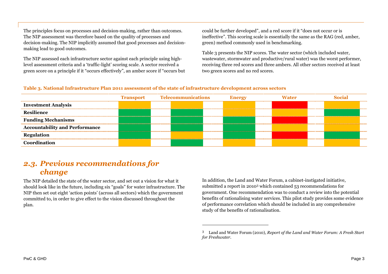The principles focus on processes and decision-making, rather than outcomes. The NIP assessment was therefore based on the quality of processes and decision-making. The NIP implicitly assumed that good processes and decisionmaking lead to good outcomes.

The NIP assessed each infrastructure sector against each principle using highlevel assessment criteria and a 'traffic-light' scoring scale. A sector received a green score on a principle if it "occurs effectively", an amber score if "occurs but could be further developed", and a red score if it "does not occur or is ineffective". This scoring scale is essentially the same as the RAG (red, amber, green) method commonly used in benchmarking.

[Table](#page-14-0) 3 presents the NIP scores. The water sector (which included water, wastewater, stormwater and productive/rural water) was the worst performer, receiving three red scores and three ambers. All other sectors received at least two green scores and no red scores.

#### <span id="page-14-1"></span><span id="page-14-0"></span>**Table 3. National Infrastructure Plan 2011 assessment of the state of infrastructure development across sectors**

|                                       | <b>Transport</b> | Telecommunications | <b>Energy</b> | Vater |  |  |
|---------------------------------------|------------------|--------------------|---------------|-------|--|--|
| <b>Investment Analysis</b>            |                  |                    |               |       |  |  |
| <b>Resilience</b>                     |                  |                    |               |       |  |  |
| <b>Funding Mechanisms</b>             |                  |                    |               |       |  |  |
| <b>Accountability and Performance</b> |                  |                    |               |       |  |  |
| <b>Regulation</b>                     |                  |                    |               |       |  |  |
| Coordination                          |                  |                    |               |       |  |  |

### *2.3. Previous recommendations for change*

The NIP detailed the state of the water sector, and set out a vision for what it should look like in the future, including six "goals" for water infrastructure. The NIP then set out eight 'action points' (across all sectors) which the government committed to, in order to give effect to the vision discussed throughout the plan.

In addition, the Land and Water Forum, a cabinet-instigated initiative, submitted a report in 2010<sup>3</sup> which contained 53 recommendations for government. One recommendation was to conduct a review into the potential benefits of rationalising water services. This pilot study provides some evidence of performance correlation which should be included in any comprehensive study of the benefits of rationalisation.

<sup>3</sup> Land and Water Forum (2010), *Report of the Land and Water Forum: A Fresh Start for Freshwater*.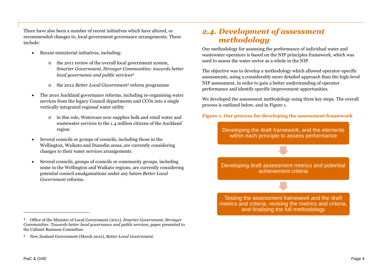There have also been a number of recent initiatives which have altered, or recommended changes to, local government governance arrangements. These include:

- Recent ministerial initiatives, including:
	- o the 2011 review of the overall local government system, *Smarter Government, Stronger Communities: towards better local governance and public services<sup>4</sup>*
	- o the 2012 *Better Local Government<sup>5</sup>* reform programme
- The 2010 Auckland governance reforms, including re-organising water services from the legacy Council departments and CCOs into a single vertically integrated regional water utility
	- o in this role, Watercare now supplies bulk and retail water and wastewater services to the 1.4 million citizens of the Auckland region
- Several councils or groups of councils, including those in the Wellington, Waikato and Dunedin areas, are currently considering changes to their water services arrangements
- Several councils, groups of councils or community groups, including some in the Wellington and Waikato regions, are currently considering potential council amalgamations under any future *Better Local Government* reforms.

### <span id="page-15-1"></span>*2.4. Development of assessment methodology*

Our methodology for assessing the performance of individual water and wastewater operators is based on the NIP principles framework, which was used to assess the water sector as a whole in the NIP.

The objective was to develop a methodology which allowed operator-specific assessments, using a considerably more detailed approach than the high-level NIP assessment, in order to gain a better understanding of operator performance and identify specific improvement opportunities.

We developed the assessment methodology using three key steps. The overall process is outlined below, andin [Figure 1](#page-15-0).

<span id="page-15-0"></span>**Figure 1. Our process for developing the assessment framework**

Developing the draft framework, and the elements within each principle to assess performance

Developing draft assessment metrics and potential achievement criteria

Testing the assessment framework and the draft metrics and criteria, revising the metrics and criteria, and finalising the full methodology

<sup>4</sup> Office of the Minister of Local Government (2011), *Smarter Government, Stronger Communities: Towards better local governance and public services*, paper presented to the Cabinet Business Committee.

<sup>5</sup> New Zealand Government (March 2012), *Better Local Government*.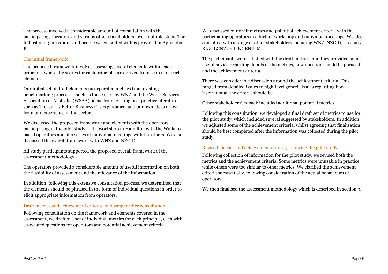The process involved a considerable amount of consultation with the participating operators and various other stakeholders, over multiple steps. The f[ull list of organisations and people we consulted with is provided in](#page-38-0) Appendix B.

#### The initial framework

The proposed framework involves assessing several elements within each principle, where the scores for each principle are derived from scores for each element.

Our initial set of draft elements incorporated metrics from existing benchmarking processes, such as those used by WNZ and the Water Services Association of Australia (WSAA), ideas from existing best practice literature, such as Treasury's Better Business Cases guidance, and our own ideas drawn from our experience in the sector.

We discussed the proposed framework and elements with the operators participating in the pilot study – at a workshop in Hamilton with the Waikatobased operators and at a series of individual meetings with the others. We also discussed the overall framework with WNZ and NZCID.

All study participants supported the proposed overall framework of the assessment methodology.

The operators provided a considerable amount of useful information on both the feasibility of assessment and the relevance of the information.

In addition, following this extensive consultation process, we determined that the elements should be phrased in the form of individual questions in order to elicit appropriate information from operators.

#### Draft metrics and achievement criteria, following further consultation

Following consultation on the framework and elements covered in the assessment, we drafted a set of individual metrics for each principle, each with associated questions for operators and potential achievement criteria.

We discussed our draft metrics and potential achievement criteria with the participating operators in a further workshop and individual meetings. We also consulted with a range of other stakeholders including WNZ, NZCID, Treasury, BNZ, LGNZ and INGENIUM.

The participants were satisfied with the draft metrics, and they provided some useful advice regarding details of the metrics, how questions could be phrased, and the achievement criteria.

There was considerable discussion around the achievement criteria. This ranged from detailed issues to high-level generic issues regarding how 'aspirational' the criteria should be.

Other stakeholder feedback included additional potential metrics.

Following this consultation, we developed a final draft set of metrics to use for the pilot study, which included several suggested by stakeholders. In addition, we adjusted some of the achievement criteria, whilst agreeing that finalisation should be best completed after the information was collected during the pilot study.

#### Revised metrics and achievement criteria, following the pilot study

Following collection of information for the pilot study, we revised both the metrics and the achievement criteria. Some metrics were unusable in practice, while others were too similar to other metrics. We clarified the achievement criteria substantially, following consideration of the actual behaviours of operators.

We then finalised the assessment methodology which is described in section [3.](#page-18-0)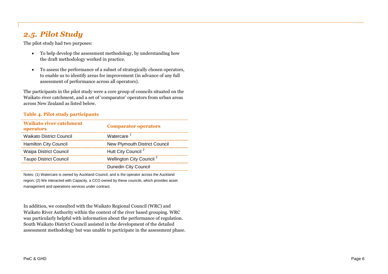## *2.5. Pilot Study*

The pilot study had two purposes:

- To help develop the assessment methodology, by understanding how the draft methodology worked in practice.
- To assess the performance of a subset of strategically chosen operators, to enable us to identify areas for improvement (in advance of any full assessment of performance across all operators).

The participants in the pilot study were a core group of councils situated on the Waikato river catchment, and a set of 'comparator' operators from urban areas across New Zealand as listed below.

#### **Table 4. Pilot study participants**

| <b>Waikato river catchment</b><br>operators | <b>Comparator operators</b>          |
|---------------------------------------------|--------------------------------------|
| <b>Waikato District Council</b>             | Watercare <sup>1</sup>               |
| <b>Hamilton City Council</b>                | <b>New Plymouth District Council</b> |
| <b>Waipa District Council</b>               | Hutt City Council <sup>2</sup>       |
| <b>Taupo District Council</b>               | Wellington City Council <sup>2</sup> |
|                                             | <b>Dunedin City Council</b>          |

Notes: (1) Watercare is owned by Auckland Council, and is the operator across the Auckland region; (2) We interacted with Capacity, a CCO owned by these councils, which provides asset management and operations services under contract.

In addition, we consulted with the Waikato Regional Council (WRC) and Waikato River Authority within the context of the river based grouping. WRC was particularly helpful with information about the performance of regulation. South Waikato District Council assisted in the development of the detailed assessment methodology but was unable to participate in the assessment phase.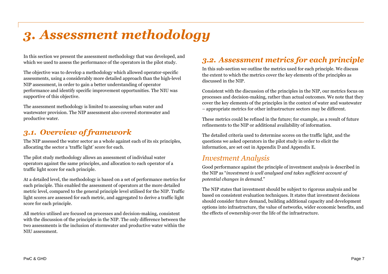## <span id="page-18-0"></span>*3. Assessment methodology*

In this section we present the assessment methodology that was developed, and which we used to assess the performance of the operators in the pilot study.

The objective was to develop a methodology which allowed operator-specific assessments, using a considerably more detailed approach than the high-level NIP assessment, in order to gain a better understanding of operator performance and identify specific improvement opportunities. The NIU was supportive of this objective.

The assessment methodology is limited to assessing urban water and wastewater provision. The NIP assessment also covered stormwater and productive water.

## *3.1. Overview of framework*

The NIP assessed the water sector as a whole against each of its six principles, allocating the sector a 'traffic light' score for each.

The pilot study methodology allows an assessment of individual water operators against the same principles, and allocation to each operator of a traffic light score for each principle.

At a detailed level, the methodology is based on a set of performance metrics for each principle. This enabled the assessment of operators at the more detailed metric level, compared to the general principle level utilised for the NIP. Traffic light scores are assessed for each metric, and aggregated to derive a traffic light score for each principle.

All metrics utilised are focused on processes and decision-making, consistent with the discussion of the principles in the NIP. The only difference between the two assessments is the inclusion of stormwater and productive water within the NIU assessment.

## *3.2. Assessment metrics for each principle*

In this sub-section we outline the metrics used for each principle. We discuss the extent to which the metrics cover the key elements of the principles as discussed in the NIP.

Consistent with the discussion of the principles in the NIP, our metrics focus on processes and decision-making, rather than actual outcomes. We note that they cover the key elements of the principles in the context of water and wastewater – appropriate metrics for other infrastructure sectors may be different.

These metrics could be refined in the future; for example, as a result of future refinements to the NIP or additional availability of information.

The detailed criteria used to determine scores on the traffic light, and the questions we asked operators in the pilot study in order to elicit the information, are set outin [Appendix D](#page-42-0) and [Appendix E](#page-47-0).

### *Investment Analysis*

Good performance against the principle of investment analysis is described in the NIP as "*investment is well analysed and takes sufficient account of potential changes in demand*."

The NIP states that investment should be subject to rigorous analysis and be based on consistent evaluation techniques. It states that investment decisions should consider future demand, building additional capacity and development options into infrastructure, the value of networks, wider economic benefits, and the effects of ownership over the life of the infrastructure.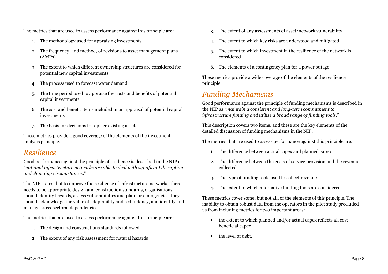The metrics that are used to assess performance against this principle are:

- 1. The methodology used for appraising investments
- 2. The frequency, and method, of revisions to asset management plans (AMPs)
- 3. The extent to which different ownership structures are considered for potential new capital investments
- 4. The process used to forecast water demand
- 5. The time period used to appraise the costs and benefits of potential capital investments
- 6. The cost and benefit items included in an appraisal of potential capital investments
- 7. The basis for decisions to replace existing assets.

These metrics provide a good coverage of the elements of the investment analysis principle.

### *Resilience*

Good performance against the principle of resilience is described in the NIP as "*national infrastructure networks are able to deal with significant disruption and changing circumstances.*"

The NIP states that to improve the resilience of infrastructure networks, there needs to be appropriate design and construction standards, organisations should identify hazards, assess vulnerabilities and plan for emergencies, they should acknowledge the value of adaptability and redundancy, and identify and manage cross-sectoral dependencies.

The metrics that are used to assess performance against this principle are:

- 1. The design and constructions standards followed
- 2. The extent of any risk assessment for natural hazards
- 3. The extent of any assessments of asset/network vulnerability
- 4. The extent to which key risks are understood and mitigated
- 5. The extent to which investment in the resilience of the network is considered
- 6. The elements of a contingency plan for a power outage.

These metrics provide a wide coverage of the elements of the resilience principle.

## *Funding Mechanisms*

Good performance against the principle of funding mechanisms is described in the NIP as "*maintain a consistent and long-term commitment to infrastructure funding and utilise a broad range of funding tools.*"

This description covers two items, and these are the key elements of the detailed discussion of funding mechanisms in the NIP.

The metrics that are used to assess performance against this principle are:

- 1. The difference between actual capex and planned capex
- 2. The difference between the costs of service provision and the revenue collected
- 3. The type of funding tools used to collect revenue
- 4. The extent to which alternative funding tools are considered.

These metrics cover some, but not all, of the elements of this principle. The inability to obtain robust data from the operators in the pilot study precluded us from including metrics for two important areas:

- the extent to which planned and/or actual capex reflects all costbeneficial capex
- the level of debt.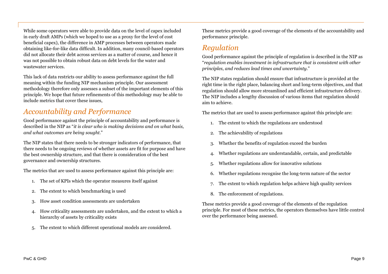While some operators were able to provide data on the level of capex included in early draft AMPs (which we hoped to use as a proxy for the level of cost beneficial capex), the difference in AMP processes between operators made obtaining like-for-like data difficult. In addition, many council-based operators did not allocate their debt across services as a matter of course, and hence it was not possible to obtain robust data on debt levels for the water and wastewater services.

This lack of data restricts our ability to assess performance against the full meaning within the funding NIP mechanism principle. Our assessment methodology therefore only assesses a subset of the important elements of this principle. We hope that future refinements of this methodology may be able to include metrics that cover these issues,

## *Accountability and Performance*

Good performance against the principle of accountability and performance is described in the NIP as "*it is clear who is making decisions and on what basis, and what outcomes are being sought.*"

The NIP states that there needs to be stronger indicators of performance, that there needs to be ongoing reviews of whether assets are fit for purpose and have the best ownership structure, and that there is consideration of the best governance and ownership structures.

The metrics that are used to assess performance against this principle are:

- 1. The set of KPIs which the operator measures itself against
- 2. The extent to which benchmarking is used
- 3. How asset condition assessments are undertaken
- 4. How criticality assessments are undertaken, and the extent to which a hierarchy of assets by criticality exists
- 5. The extent to which different operational models are considered.

These metrics provide a good coverage of the elements of the accountability and performance principle.

## *Regulation*

Good performance against the principle of regulation is described in the NIP as "*regulation enables investment in infrastructure that is consistent with other principles, and reduces lead times and uncertainty*."

The NIP states regulation should ensure that infrastructure is provided at the right time in the right place, balancing short and long-term objectives, and that regulation should allow more streamlined and efficient infrastructure delivery. The NIP includes a lengthy discussion of various items that regulation should aim to achieve.

The metrics that are used to assess performance against this principle are:

- 1. The extent to which the regulations are understood
- 2. The achievability of regulations
- 3. Whether the benefits of regulation exceed the burden
- 4. Whether regulations are understandable, certain, and predictable
- 5. Whether regulations allow for innovative solutions
- 6. Whether regulations recognise the long-term nature of the sector
- 7. The extent to which regulation helps achieve high quality services
- 8. The enforcement of regulations.

These metrics provide a good coverage of the elements of the regulation principle. For most of these metrics, the operators themselves have little control over the performance being assessed.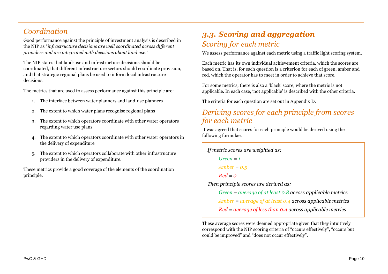## *Coordination*

Good performance against the principle of investment analysis is described in the NIP as "*infrastructure decisions are well coordinated across different providers and are integrated with decisions about land use*."

The NIP states that land-use and infrastructure decisions should be coordinated, that different infrastructure sectors should coordinate provision, and that strategic regional plans be used to inform local infrastructure decisions.

The metrics that are used to assess performance against this principle are:

- 1. The interface between water planners and land-use planners
- 2. The extent to which water plans recognise regional plans
- 3. The extent to which operators coordinate with other water operators regarding water use plans
- 4. The extent to which operators coordinate with other water operators in the delivery of expenditure
- 5. The extent to which operators collaborate with other infrastructure providers in the delivery of expenditure.

These metrics provide a good coverage of the elements of the coordination principle.

## *3.3. Scoring and aggregation Scoring for each metric*

We assess performance against each metric using a traffic light scoring system.

Each metric has its own individual achievement criteria, which the scores are based on. That is, for each question is a criterion for each of green, amber and red, which the operator has to meet in order to achieve that score.

For some metrics, there is also a 'black' score, where the metric is not applicable. In each case, 'not applicable' is described with the other criteria.

The criteria for each question are set outin [Appendix D.](#page-42-0)

## *Deriving scores for each principle from scores for each metric*

It was agreed that scores for each principle would be derived using the following formulae.

```
If metric scores are weighted as:
 Green = 1
Amber = 0.5
 Red = 0Then principle scores are derived as:
Green = average of at least 0.8 across applicable metrics
Amber = average of at least 0.4 across applicable metrics
Red = average of less than 0.4 across applicable metrics
```
These average scores were deemed appropriate given that they intuitively correspond with the NIP scoring criteria of "occurs effectively", "occurs but could be improved" and "does not occur effectively".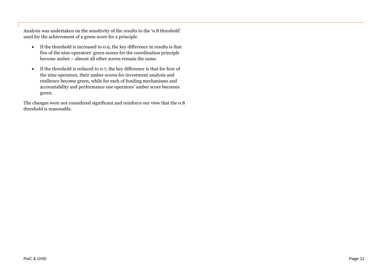Analysis was undertaken on the sensitivity of the results to the '0.8 threshold' used for the achievement of a green score for a principle.

- If the threshold is increased to 0.9, the key difference in results is that five of the nine operators' green scores for the coordination principle become amber – almost all other scores remain the same.
- If the threshold is reduced to 0.7, the key difference is that for four of the nine operators, their amber scores for investment analysis and resilience become green, while for each of funding mechanisms and accountability and performance one operators' amber score becomes green.

The changes were not considered significant and reinforce our view that the 0.8 threshold is reasonable.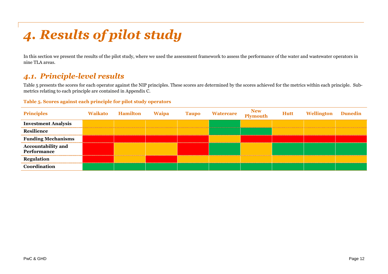## <span id="page-23-0"></span>*4. Results of pilot study*

<span id="page-23-2"></span>In this section we present the results of the pilot study, where we used the assessment framework to assess the performance of the water and wastewater operators in nine TLA areas.

## *4.1. Principle-level results*

[Table 5](#page-23-1) presents the scores for each operator against the NIP principles. These scores are determined by the scores achieved for the metrics within each principle. Submetrics relating to each principle are contained in Appendix C.

#### <span id="page-23-1"></span>**Table 5. Scores against each principle for pilot study operators**

| <b>Principles</b>                               | Waikato | <b>Hamilton</b> | <b>Waipa</b> | <b>Taupo</b> | Watercare New<br>Plymouth | <b>Hutt</b> | <b>Wellington</b> Dunedin |  |
|-------------------------------------------------|---------|-----------------|--------------|--------------|---------------------------|-------------|---------------------------|--|
| <b>Investment Analysis</b>                      |         |                 |              |              |                           |             |                           |  |
| <b>Resilience</b>                               |         |                 |              |              |                           |             |                           |  |
| <b>Funding Mechanisms</b>                       |         |                 |              |              |                           |             |                           |  |
| <b>Accountability and</b><br><b>Performance</b> |         |                 |              |              |                           |             |                           |  |
| <b>Regulation</b>                               |         |                 |              |              |                           |             |                           |  |
| Coordination                                    |         |                 |              |              |                           |             |                           |  |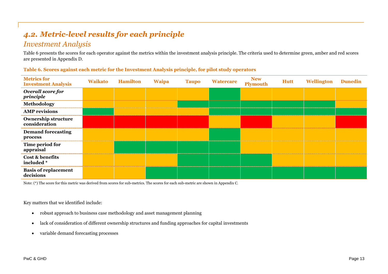## *4.2. Metric-level results for each principle*

### *Investment Analysis*

[Table 6](#page-24-0) presents the scores for each operator against the metrics within the investment analysis principle. The criteria used to determine green, amber and red scores are presentedin [Appendix D](#page-42-0).

| <b>Metrics for</b><br><b>Investment Analysis</b> | <b>Waikato</b> | <b>Hamilton</b> | <b>Waipa</b> | <b>Taupo</b> | <b>Watercare</b> | <b>New</b><br>Plymouth | Hutt | Wellington | <b>Dunedin</b> |
|--------------------------------------------------|----------------|-----------------|--------------|--------------|------------------|------------------------|------|------------|----------------|
| Overall score for<br>principle                   |                |                 |              |              |                  |                        |      |            |                |
| Methodology                                      |                |                 |              |              |                  |                        |      |            |                |
| <b>AMP</b> revisions                             |                |                 |              |              |                  |                        |      |            |                |
| <b>Ownership structure</b><br>consideration      |                |                 |              |              |                  |                        |      |            |                |
| <b>Demand forecasting</b><br>process             |                |                 |              |              |                  |                        |      |            |                |
| Time period for<br>appraisal                     |                |                 |              |              |                  |                        |      |            |                |
| Cost & benefits<br>included *                    |                |                 |              |              |                  |                        |      |            |                |
| <b>Basis of replacement</b><br>decisions         |                |                 |              |              |                  |                        |      |            |                |

<span id="page-24-0"></span>**Table 6. Scores against each metric for the Investment Analysis principle, for pilot study operators**

Note: (\*) The score for this metric was derived from scores for sub-metrics. The scores for each sub-metric are shownin [Appendix C.](#page-39-0)

Key matters that we identified include:

- robust approach to business case methodology and asset management planning
- lack of consideration of different ownership structures and funding approaches for capital investments
- variable demand forecasting processes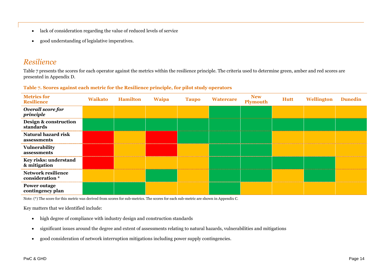- lack of consideration regarding the value of reduced levels of service
- good understanding of legislative imperatives.

### *Resilience*

[Table 7](#page-25-0) presents the scores for each operator against the metrics within the resilience principle. The criteria used to determine green, amber and red scores are presentedin [Appendix D.](#page-42-0)

<span id="page-25-0"></span>

|  |  |  | Table 7. Scores against each metric for the Resilience principle, for pilot study operators |  |  |  |
|--|--|--|---------------------------------------------------------------------------------------------|--|--|--|
|  |  |  |                                                                                             |  |  |  |

| <b>Metrics for</b><br><b>Resilience</b>      | <b>Waikato</b> | <b>Hamilton</b> | <b>Waipa</b> | <b>Taupo</b> | <b>Watercare</b> | <b>New</b><br>Plymouth | Hutt | Wellington | <b>Dunedin</b> |
|----------------------------------------------|----------------|-----------------|--------------|--------------|------------------|------------------------|------|------------|----------------|
| Overall score for<br>principle               |                |                 |              |              |                  |                        |      |            |                |
| Design & construction<br>standards           |                |                 |              |              |                  |                        |      |            |                |
| <b>Natural hazard risk</b><br>assessments    |                |                 |              |              |                  |                        |      |            |                |
| Vulnerability<br>assessments                 |                |                 |              |              |                  |                        |      |            |                |
| Key risks: understand<br>& mitigation        |                |                 |              |              |                  |                        |      |            |                |
| <b>Network resilience</b><br>consideration * |                |                 |              |              |                  |                        |      |            |                |
| <b>Power outage</b><br>contingency plan      |                |                 |              |              |                  |                        |      |            |                |

Note: (\*) The score for this metric was derived from scores for sub-metrics. The scores for each sub-metric are shownin [Appendix C.](#page-39-0)

Key matters that we identified include:

- high degree of compliance with industry design and construction standards
- significant issues around the degree and extent of assessments relating to natural hazards, vulnerabilities and mitigations
- good consideration of network interruption mitigations including power supply contingencies.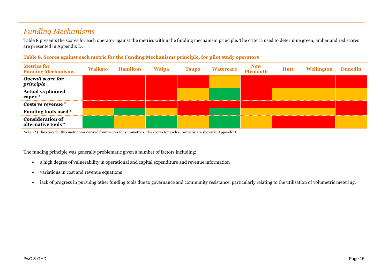## *Funding Mechanisms*

[Table 8](#page-26-0) presents the scores for each operator against the metrics within the funding mechanism principle. The criteria used to determine green, amber and red scores are presentedin [Appendix D](#page-42-0).

| <b>Metrics for</b><br><b>Funding Mechanisms</b> | <b>Waikato</b> | Hamilton | <b>Waipa</b> | <b>Taupo</b> | <b>Watercare</b> | New<br>Plymouth | <b>Hutt</b> | Wellington | <b>Dunedin</b> |
|-------------------------------------------------|----------------|----------|--------------|--------------|------------------|-----------------|-------------|------------|----------------|
| Overall score for<br>principle                  |                |          |              |              |                  |                 |             |            |                |
| <b>Actual vs planned<br/>capex *</b>            |                |          |              |              |                  |                 |             |            |                |
| Costs vs revenue *                              |                |          |              |              |                  |                 |             |            |                |
| Funding tools used *                            |                |          |              |              |                  |                 |             |            |                |
| <b>Consideration of</b><br>alternative tools *  |                |          |              |              |                  |                 |             |            |                |

#### <span id="page-26-0"></span>**Table 8. Scores against each metric for the Funding Mechanisms principle, for pilot study operators**

Note: (\*) The score for this metric was derived from scores for sub-metrics. The scores for each sub-metric are shownin [Appendix C.](#page-39-0)

The funding principle was generally problematic given a number of factors including:

- a high degree of vulnerability in operational and capital expenditure and revenue information
- variations in cost and revenue equations
- lack of progress in pursuing other funding tools due to governance and community resistance, particularly relating to the utilisation of volumetric metering.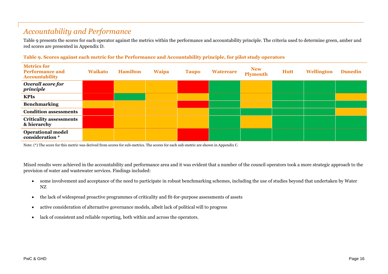## *Accountability and Performance*

[Table 9](#page-27-0) presents the scores for each operator against the metrics within the performance and accountability principle. The criteria used to determine green, amber and red scores are presentedin [Appendix D](#page-42-0).

| <b>Metrics for</b><br><b>Performance and</b><br><b>Accountability</b> | <b>Waikato</b> | <b>Hamilton</b> | <b>Waipa</b> | <b>Taupo</b> | <b>Watercare</b> | <b>New<br/>Plymouth</b> | <b>Hutt</b> | <b>Wellington Dunedin</b> |  |
|-----------------------------------------------------------------------|----------------|-----------------|--------------|--------------|------------------|-------------------------|-------------|---------------------------|--|
| Overall score for<br>principle                                        |                |                 |              |              |                  |                         |             |                           |  |
| <b>KPIs</b>                                                           |                |                 |              |              |                  |                         |             |                           |  |
| <b>Benchmarking</b>                                                   |                |                 |              |              |                  |                         |             |                           |  |
| <b>Condition assessments</b>                                          |                |                 |              |              |                  |                         |             |                           |  |
| <b>Criticality assessments</b><br>& hierarchy                         |                |                 |              |              |                  |                         |             |                           |  |
| <b>Operational model</b><br>consideration *                           |                |                 |              |              |                  |                         |             |                           |  |

#### <span id="page-27-0"></span>**Table 9. Scores against each metric for the Performance and Accountability principle, for pilot study operators**

Note: (\*) The score for this metric was derived from scores for sub-metrics. The scores for each sub-metric are shownin [Appendix C.](#page-39-0)

Mixed results were achieved in the accountability and performance area and it was evident that a number of the council operators took a more strategic approach to the provision of water and wastewater services. Findings included:

- some involvement and acceptance of the need to participate in robust benchmarking schemes, including the use of studies beyond that undertaken by Water NZ
- the lack of widespread proactive programmes of criticality and fit-for-purpose assessments of assets
- active consideration of alternative governance models, albeit lack of political will to progress
- lack of consistent and reliable reporting, both within and across the operators.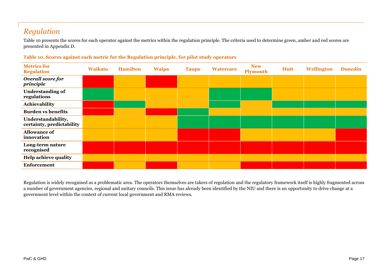## *Regulation*

[Table 10](#page-28-0) presents the scores for each operator against the metrics within the regulation principle. The criteria used to determine green, amber and red scores are presentedin [Appendix D.](#page-42-0)

<span id="page-28-0"></span>

| Table 10. Scores against each metric for the Regulation principle, for pilot study operators |  |  |
|----------------------------------------------------------------------------------------------|--|--|
|----------------------------------------------------------------------------------------------|--|--|

| <b>Metrics for</b><br><b>Regulation</b>         | <b>Waikato</b> | <b>Hamilton</b> | <b>Waipa</b> | <b>Taupo</b> | <b>Watercare</b> | <b>New</b><br>Plymouth | <b>Hutt</b> | Wellington | <b>Dunedin</b> |
|-------------------------------------------------|----------------|-----------------|--------------|--------------|------------------|------------------------|-------------|------------|----------------|
| Overall score for<br>principle                  |                |                 |              |              |                  |                        |             |            |                |
| <b>Understanding of</b><br>regulations          |                |                 |              |              |                  |                        |             |            |                |
| Achievability                                   |                |                 |              |              |                  |                        |             |            |                |
| <b>Burden vs benefits</b>                       |                |                 |              |              |                  |                        |             |            |                |
| Understandability,<br>certainty, predictability |                |                 |              |              |                  |                        |             |            |                |
| <b>Allowance of</b><br>innovation               |                |                 |              |              |                  |                        |             |            |                |
| Long-term nature<br>recognised                  |                |                 |              |              |                  |                        |             |            |                |
| <b>Help achieve quality</b>                     |                |                 |              |              |                  |                        |             |            |                |
| <b>Enforcement</b>                              |                |                 |              |              |                  |                        |             |            |                |

Regulation is widely recognised as a problematic area. The operators themselves are takers of regulation and the regulatory framework itself is highly fragmented across a number of government agencies, regional and unitary councils. This issue has already been identified by the NIU and there is an opportunity to drive change at a government level within the context of current local government and RMA reviews.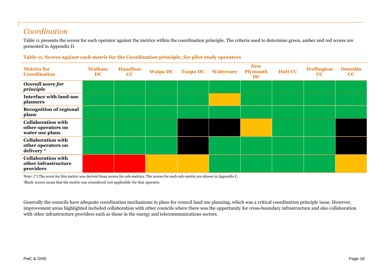## *Coordination*

[Table 11](#page-29-0) presents the scores for each operator against the metrics within the coordination principle. The criteria used to determine green, amber and red scores are presentedin [Appendix D.](#page-42-0)

#### <span id="page-29-0"></span>**Table 11. Scores against each metric for the Coordination principle, for pilot study operators**

| <b>Metrics for</b><br><b>Coordination</b>                          | <b>Waikato</b><br><b>DC</b> | <b>Hamilton</b><br>CC | <b>Waipa DC Taupo DC</b> | <b>Watercare</b> | <b>New</b><br><b>Plymouth</b><br><b>DC</b> | <b>Hutt CC</b> | Wellington<br>$\bf CC$ | <b>Dunedin</b><br>CC |
|--------------------------------------------------------------------|-----------------------------|-----------------------|--------------------------|------------------|--------------------------------------------|----------------|------------------------|----------------------|
| <b>Overall score for</b><br>principle                              |                             |                       |                          |                  |                                            |                |                        |                      |
| <b>Interface with land-use</b><br>planners                         |                             |                       |                          |                  |                                            |                |                        |                      |
| <b>Recognition of regional</b><br>plans                            |                             |                       |                          |                  |                                            |                |                        |                      |
| <b>Collaboration with</b><br>other operators on<br>water use plans |                             |                       |                          |                  |                                            |                |                        |                      |
| <b>Collaboration with</b><br>other operators on<br>delivery*       |                             |                       |                          |                  |                                            |                |                        |                      |
| <b>Collaboration with</b><br>other infrastructure<br>providers     |                             |                       |                          |                  |                                            |                |                        |                      |

Note: (\*) The score for this metric was derived from scores for sub-metrics. The scores for each sub-metric are shownin [Appendix C.](#page-39-0)

'Black' scores mean that the metric was considered 'not applicable' for that operator.

Generally the councils have adequate coordination mechanisms in place for council land use planning, which was a critical coordination principle issue. However, improvement areas highlighted included collaboration with other councils where there was the opportunity for cross-boundary infrastructure and also collaboration with other infrastructure providers such as those in the energy and telecommunications sectors.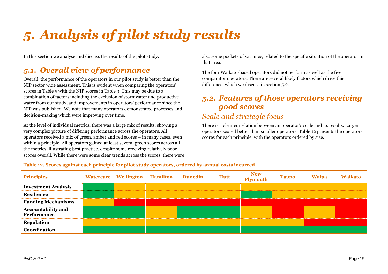## <span id="page-30-0"></span>*5. Analysis of pilot study results*

In this section we analyse and discuss the results of the pilot study.

## *5.1. Overall view of performance*

Overall, the performance of the operators in our pilot study is better than the NIP sector wide assessment. This is evident when comparing the operators' scoresin [Table 5](#page-23-2) with the NIP scoresin [Table 3.](#page-14-1) This may be due to a combination of factors including the exclusion of stormwater and productive water from our study, and improvements in operators' performance since the NIP was published. We note that many operators demonstrated processes and decision-making which were improving over time.

At the level of individual metrics, there was a large mix of results, showing a very complex picture of differing performance across the operators. All operators received a mix of green, amber and red scores – in many cases, even within a principle. All operators gained at least several green scores across all the metrics, illustrating best practice, despite some receiving relatively poor scores overall. While there were some clear trends across the scores, there were also some pockets of variance, related to the specific situation of the operator in that area.

The four Waikato-based operators did not perform as well as the five comparator operators. There are several likely factors which drive this difference, which we discuss in section [5.2.](#page-30-1)

## <span id="page-30-1"></span>*5.2. Features of those operators receiving good scores*

## *Scale and strategic focus*

There is a clear correlation between an operator's scale and its results. Larger operators scored better than smaller operators. [Table 12](#page-30-2) presents the operators' scores for each principle, with the operators ordered by size.

| Principles                                | Watercare Wellington Hamilton Dunedin |  | Hutt | New<br>Plymouth | Taupo | Waipa |  |
|-------------------------------------------|---------------------------------------|--|------|-----------------|-------|-------|--|
| <b>Investment Analysis</b>                |                                       |  |      |                 |       |       |  |
| <b>Resilience</b>                         |                                       |  |      |                 |       |       |  |
| <b>Funding Mechanisms</b>                 |                                       |  |      |                 |       |       |  |
| <b>Accountability and<br/>Performance</b> |                                       |  |      |                 |       |       |  |
| <b>Regulation</b>                         |                                       |  |      |                 |       |       |  |
|                                           |                                       |  |      |                 |       |       |  |

<span id="page-30-2"></span>**Table 12. Scores against each principle for pilot study operators, ordered by annual costs incurred**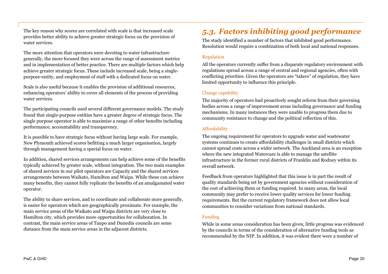The key reason why scores are correlated with scale is that increased scale provides better ability to achieve greater strategic focus on the provision of water services.

The more attention that operators were devoting to water infrastructure generally, the more focused they were across the range of assessment metrics and in implementation of better practice. There are multiple factors which help achieve greater strategic focus. These include increased scale, being a singlepurpose-entity, and employment of staff with a dedicated focus on water.

Scale is also useful because it enables the provision of additional resources, enhancing operators' ability to cover all elements of the process of providing water services.

The participating councils used several different governance models. The study found that single-purpose entities have a greater degree of strategic focus. The single purpose operator is able to maximise a range of other benefits including performance, accountability and transparency.

It is possible to have strategic focus without having large scale. For example, New Plymouth achieved scores befitting a much larger organisation, largely through management having a special focus on water.

In addition, shared services arrangements can help achieve some of the benefits typically achieved by greater scale, without integration. The two main examples of shared services in our pilot operators are Capacity and the shared services arrangements between Waikato, Hamilton and Waipa. While these can achieve many benefits, they cannot fully replicate the benefits of an amalgamated water operator.

The ability to share services, and to coordinate and collaborate more generally, is easier for operators which are geographically proximate. For example, the main service areas of the Waikato and Waipa districts are very close to Hamilton city, which provides more opportunities for collaboration. In contrast, the main service areas of Taupo and Dunedin councils are some distance from the main service areas in the adjacent districts.

## *5.3. Factors inhibiting good performance*

The study identified a number of factors that inhibited good performance. Resolution would require a combination of both local and national responses.

#### Regulation

All the operators currently suffer from a disparate regulatory environment with regulations spread across a range of central and regional agencies, often with conflicting priorities. Given the operators are "takers" of regulation, they have limited opportunity to influence this principle.

#### Change capability

The majority of operators had proactively sought reform from their governing bodies across a range of improvement areas including governance and funding mechanisms. In many instances they were unable to progress them due to community resistance to change and the political reflection of this.

#### Affordability

The ongoing requirement for operators to upgrade water and wastewater systems continues to create affordability challenges in small districts which cannot spread costs across a wider network. The Auckland area is an exception where the new integrated Watercare is able to manage the satellite infrastructure in the former rural districts of Franklin and Rodney within its overall network.

Feedback from operators highlighted that this issue is in part the result of quality standards being set by government agencies without consideration of the cost of achieving them or funding required. In many areas, the local community may prefer to receive lower quality services for lower funding requirements. But the current regulatory framework does not allow local communities to consider variations from national standards.

#### Funding

While in some areas consideration has been given, little progress was evidenced by the councils in terms of the consideration of alternative funding tools as recommended by the NIP. In addition, it was evident there were a number of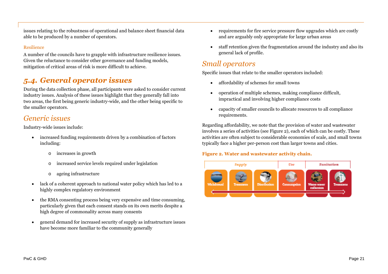issues relating to the robustness of operational and balance sheet financial data able to be produced by a number of operators.

#### Resilience

A number of the councils have to grapple with infrastructure resilience issues. Given the reluctance to consider other governance and funding models, mitigation of critical areas of risk is more difficult to achieve.

## *5.4. General operator issues*

During the data collection phase, all participants were asked to consider current industry issues. Analysis of these issues highlight that they generally fall into two areas, the first being generic industry-wide, and the other being specific to the smaller operators.

## *Generic issues*

Industry-wide issues include:

- increased funding requirements driven by a combination of factors including:
	- o increases in growth
	- o increased service levels required under legislation
	- o ageing infrastructure
- lack of a coherent approach to national water policy which has led to a highly complex regulatory environment
- the RMA consenting process being very expensive and time consuming, particularly given that each consent stands on its own merits despite a high degree of commonality across many consents
- general demand for increased security of supply as infrastructure issues have become more familiar to the community generally
- requirements for fire service pressure flow upgrades which are costly and are arguably only appropriate for large urban areas
- staff retention given the fragmentation around the industry and also its general lack of profile.

## *Small operators*

Specific issues that relate to the smaller operators included:

- affordability of schemes for small towns
- operation of multiple schemes, making compliance difficult, impractical and involving higher compliance costs
- capacity of smaller councils to allocate resources to all compliance requirements.

Regarding affordability, we note that the provision of water and wastewater involves a series of activities (see [Figure 2](#page-32-0)), each of which can be costly. These activities are often subject to considerable economies of scale, and small towns typically face a higher per-person cost than larger towns and cities.

#### <span id="page-32-0"></span>**Figure 2. Water and wastewater activity chain.**

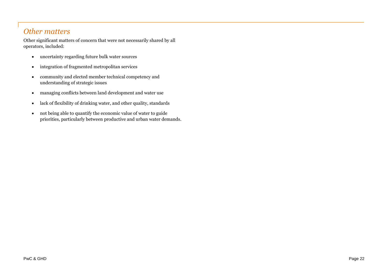### *Other matters*

Other significant matters of concern that were not necessarily shared by all operators, included:

- uncertainty regarding future bulk water sources
- integration of fragmented metropolitan services
- community and elected member technical competency and understanding of strategic issues
- managing conflicts between land development and water use
- lack of flexibility of drinking water, and other quality, standards
- not being able to quantify the economic value of water to guide priorities, particularly between productive and urban water demands.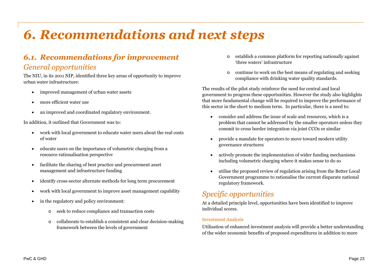## <span id="page-34-0"></span>*6. Recommendations and next steps*

## *6.1. Recommendations for improvement General opportunities*

The NIU, in its 2011 NIP, identified three key areas of opportunity to improve urban water infrastructure:

- improved management of urban water assets
- more efficient water use
- an improved and coordinated regulatory environment.

In addition, it outlined that Government was to:

- work with local government to educate water users about the real costs of water
- educate users on the importance of volumetric charging from a resource rationalisation perspective
- facilitate the sharing of best practice and procurement asset management and infrastructure funding
- identify cross-sector alternate methods for long term procurement
- work with local government to improve asset management capability
- in the regulatory and policy environment:
	- o seek to reduce compliance and transaction costs
	- o collaborate to establish a consistent and clear decision-making framework between the levels of government
- o establish a common platform for reporting nationally against 'three waters' infrastructure
- o continue to work on the best means of regulating and seeking compliance with drinking water quality standards.

The results of the pilot study reinforce the need for central and local government to progress these opportunities. However the study also highlights that more fundamental change will be required to improve the performance of this sector in the short to medium term. In particular, there is a need to:

- consider and address the issue of scale and resources, which is a problem that cannot be addressed by the smaller operators unless they commit to cross border integration via joint CCOs or similar
- provide a mandate for operators to move toward modern utility governance structures
- actively promote the implementation of wider funding mechanisms including volumetric charging where it makes sense to do so
- utilise the proposed review of regulation arising from the Better Local Government programme to rationalise the current disparate national regulatory framework.

## *Specific opportunities*

At a detailed principle level, opportunities have been identified to improve individual scores.

#### Investment Analysis

Utilisation of enhanced investment analysis will provide a better understanding of the wider economic benefits of proposed expenditures in addition to more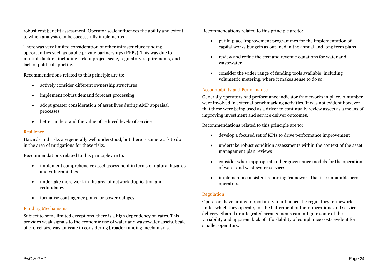robust cost benefit assessment. Operator scale influences the ability and extent to which analysis can be successfully implemented.

There was very limited consideration of other infrastructure funding opportunities such as public private partnerships (PPPs). This was due to multiple factors, including lack of project scale, regulatory requirements, and lack of political appetite.

Recommendations related to this principle are to:

- actively consider different ownership structures
- implement robust demand forecast processing
- adopt greater consideration of asset lives during AMP appraisal processes
- better understand the value of reduced levels of service.

#### Resilience

Hazards and risks are generally well understood, but there is some work to do in the area of mitigations for these risks.

Recommendations related to this principle are to:

- implement comprehensive asset assessment in terms of natural hazards and vulnerabilities
- undertake more work in the area of network duplication and redundancy
- formalise contingency plans for power outages.

#### Funding Mechanisms

Subject to some limited exceptions, there is a high dependency on rates. This provides weak signals to the economic use of water and wastewater assets. Scale of project size was an issue in considering broader funding mechanisms.

Recommendations related to this principle are to:

- put in place improvement programmes for the implementation of capital works budgets as outlined in the annual and long term plans
- review and refine the cost and revenue equations for water and wastewater
- consider the wider range of funding tools available, including volumetric metering, where it makes sense to do so.

#### Accountability and Performance

Generally operators had performance indicator frameworks in place. A number were involved in external benchmarking activities. It was not evident however, that these were being used as a driver to continually review assets as a means of improving investment and service deliver outcomes.

Recommendations related to this principle are to:

- develop a focused set of KPIs to drive performance improvement
- undertake robust condition assessments within the context of the asset management plan reviews
- consider where appropriate other governance models for the operation of water and wastewater services
- implement a consistent reporting framework that is comparable across operators.

#### Regulation

Operators have limited opportunity to influence the regulatory framework under which they operate, for the betterment of their operations and service delivery. Shared or integrated arrangements can mitigate some of the variability and apparent lack of affordability of compliance costs evident for smaller operators.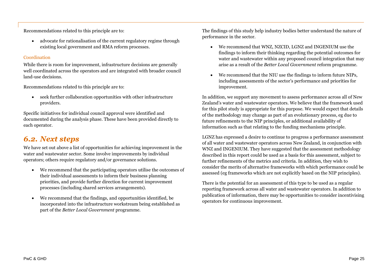Recommendations related to this principle are to:

 advocate for rationalisation of the current regulatory regime through existing local government and RMA reform processes.

#### Coordination

While there is room for improvement, infrastructure decisions are generally well coordinated across the operators and are integrated with broader council land-use decisions.

Recommendations related to this principle are to:

 seek further collaboration opportunities with other infrastructure providers.

Specific initiatives for individual council approval were identified and documented during the analysis phase. These have been provided directly to each operator.

### *6.2. Next steps*

We have set out above a list of opportunities for achieving improvement in the water and wastewater sector. Some involve improvements by individual operators; others require regulatory and/or governance solutions.

- We recommend that the participating operators utilise the outcomes of their individual assessments to inform their business planning priorities, and provide further direction for current improvement processes (including shared services arrangements).
- We recommend that the findings, and opportunities identified, be incorporated into the infrastructure workstream being established as part of the *Better Local Government* programme.

The findings of this study help industry bodies better understand the nature of performance in the sector.

- We recommend that WNZ, NZCID, LGNZ and INGENIUM use the findings to inform their thinking regarding the potential outcomes for water and wastewater within any proposed council integration that may arise as a result of the *Better Local Government* reform programme.
- We recommend that the NIU use the findings to inform future NIPs, including assessments of the sector's performance and priorities for improvement.

In addition, we support any movement to assess performance across all of New Zealand's water and wastewater operators. We believe that the framework used for this pilot study is appropriate for this purpose. We would expect that details of the methodology may change as part of an evolutionary process, eg due to future refinements to the NIP principles, or additional availability of information such as that relating to the funding mechanisms principle.

LGNZ has expressed a desire to continue to progress a performance assessment of all water and wastewater operators across New Zealand, in conjunction with WNZ and INGENIUM. They have suggested that the assessment methodology described in this report could be used as a basis for this assessment, subject to further refinements of the metrics and criteria. In addition, they wish to consider the merits of alternative frameworks with which performance could be assessed (eg frameworks which are not explicitly based on the NIP principles).

There is the potential for an assessment of this type to be used as a regular reporting framework across all water and wastewater operators. In addition to publication of information, there may be opportunities to consider incentivising operators for continuous improvement.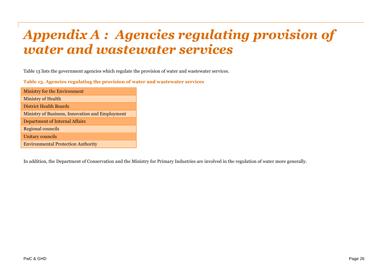## <span id="page-37-0"></span>*Appendix A : Agencies regulating provision of water and wastewater services*

[Table 13](#page-37-1) lists the government agencies which regulate the provision of water and wastewater services.

<span id="page-37-1"></span>**Table 13. Agencies regulating the provision of water and wastewater services**

| Ministry for the Environment                    |
|-------------------------------------------------|
| <b>Ministry of Health</b>                       |
| District Health Boards                          |
| Ministry of Business, Innovation and Employment |
| Department of Internal Affairs                  |
| Regional councils                               |
| <b>Unitary councils</b>                         |
| <b>Environmental Protection Authority</b>       |

In addition, the Department of Conservation and the Ministry for Primary Industries are involved in the regulation of water more generally.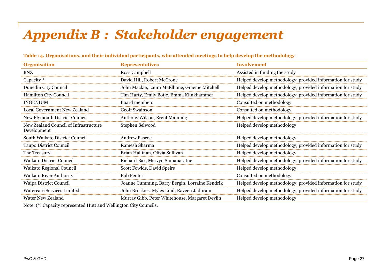## <span id="page-38-0"></span>*Appendix B : Stakeholder engagement*

| <b>Organisation</b>                                  | <b>Representatives</b>                         | <b>Involvement</b>                                         |
|------------------------------------------------------|------------------------------------------------|------------------------------------------------------------|
| <b>BNZ</b>                                           | Ross Campbell                                  | Assisted in funding the study                              |
| Capacity *                                           | David Hill, Robert McCrone                     | Helped develop methodology; provided information for study |
| Dunedin City Council                                 | John Mackie, Laura McElhone, Graeme Mitchell   | Helped develop methodology; provided information for study |
| <b>Hamilton City Council</b>                         | Tim Harty, Emily Botje, Emma Klinkhammer       | Helped develop methodology; provided information for study |
| <b>INGENIUM</b>                                      | Board members                                  | Consulted on methodology                                   |
| Local Government New Zealand                         | <b>Geoff Swainson</b>                          | Consulted on methodology                                   |
| New Plymouth District Council                        | Anthony Wilson, Brent Manning                  | Helped develop methodology; provided information for study |
| New Zealand Council of Infrastructure<br>Development | Stephen Selwood                                | Helped develop methodology                                 |
| South Waikato District Council                       | <b>Andrew Pascoe</b>                           | Helped develop methodology                                 |
| Taupo District Council                               | Ramesh Sharma                                  | Helped develop methodology; provided information for study |
| The Treasury                                         | Brian Hallinan, Olivia Sullivan                | Helped develop methodology                                 |
| <b>Waikato District Council</b>                      | Richard Bax, Mervyn Sumanaratne                | Helped develop methodology; provided information for study |
| Waikato Regional Council                             | Scott Fowlds, David Speirs                     | Helped develop methodology                                 |
| Waikato River Authority                              | <b>Bob Penter</b>                              | Consulted on methodology                                   |
| Waipa District Council                               | Joanne Cumming, Barry Bergin, Lorraine Kendrik | Helped develop methodology; provided information for study |
| <b>Watercare Services Limited</b>                    | John Brockies, Myles Lind, Raveen Jaduram      | Helped develop methodology; provided information for study |
| Water New Zealand                                    | Murray Gibb, Peter Whitehouse, Margaret Devlin | Helped develop methodology                                 |

#### **Table 14. Organisations, and their individual participants, who attended meetings to help develop the methodology**

Note: (\*) Capacity represented Hutt and Wellington City Councils.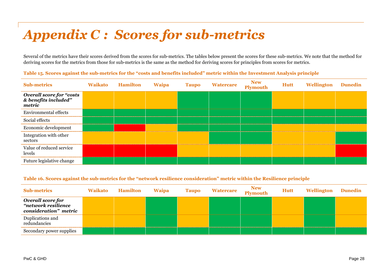## <span id="page-39-0"></span>*Appendix C : Scores for sub-metrics*

Several of the metrics have their scores derived from the scores for sub-metrics. The tables below present the scores for these sub-metrics. We note that the method for deriving scores for the metrics from those for sub-metrics is the same as the method for deriving scores for principles from scores for metrics.

| <b>Sub-metrics</b>                                         | <b>Waikato</b> | Hamilton | <b>Waipa</b> | <b>Taupo</b> | <b>Watercare</b> | New<br>Plymouth | <b>Hutt</b> | <b>Wellington</b> | <b>Dunedin</b> |
|------------------------------------------------------------|----------------|----------|--------------|--------------|------------------|-----------------|-------------|-------------------|----------------|
| Overall score for "costs<br>& benefits included"<br>metric |                |          |              |              |                  |                 |             |                   |                |
| <b>Environmental effects</b>                               |                |          |              |              |                  |                 |             |                   |                |
| Social effects                                             |                |          |              |              |                  |                 |             |                   |                |
| Economic development                                       |                |          |              |              |                  |                 |             |                   |                |
| Integration with other<br>sectors                          |                |          |              |              |                  |                 |             |                   |                |
| Value of reduced service<br>levels                         |                |          |              |              |                  |                 |             |                   |                |
| Future legislative change                                  |                |          |              |              |                  |                 |             |                   |                |

**Table 15. Scores against the sub-metrics for the "costs and benefits included" metric within the Investment Analysis principle**

#### **Table 16. Scores against the sub-metrics for the "network resilience consideration" metric within the Resilience principle**

| <b>Sub-metrics</b>                                                | <b>Waikato</b> | <b>Hamilton</b> | <b>Waipa</b> | <b>Taupo</b> | <b>Watercare</b> | New<br>Plymouth | <b>Hutt</b> | <b>Wellington</b> | <b>Dunedin</b> |
|-------------------------------------------------------------------|----------------|-----------------|--------------|--------------|------------------|-----------------|-------------|-------------------|----------------|
| Overall score for<br>"network resilience<br>consideration" metric |                |                 |              |              |                  |                 |             |                   |                |
| Duplications and<br>redundancies                                  |                |                 |              |              |                  |                 |             |                   |                |
| Secondary power supplies                                          |                |                 |              |              |                  |                 |             |                   |                |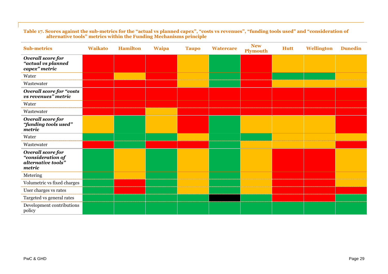#### **Table 17. Scores against the sub-metrics for the "actual vs planned capex", "costs vs revenues", "funding tools used" and "consideration of alternative tools" metrics within the Funding Mechanisms principle**

| <b>Sub-metrics</b>                                                     | <b>Waikato</b> | <b>Hamilton</b> | <b>Waipa</b> | <b>Taupo</b> | <b>Watercare</b> | <b>New</b><br><b>Plymouth</b> | <b>Hutt</b> | <b>Wellington</b> | <b>Dunedin</b> |
|------------------------------------------------------------------------|----------------|-----------------|--------------|--------------|------------------|-------------------------------|-------------|-------------------|----------------|
| Overall score for<br>"actual vs planned<br>capex" metric               |                |                 |              |              |                  |                               |             |                   |                |
| Water                                                                  |                |                 |              |              |                  |                               |             |                   |                |
| Wastewater                                                             |                |                 |              |              |                  |                               |             |                   |                |
| <b>Overall score for "costs</b><br><i>vs</i> revenues" metric          |                |                 |              |              |                  |                               |             |                   |                |
| Water                                                                  |                |                 |              |              |                  |                               |             |                   |                |
| Wastewater                                                             |                |                 |              |              |                  |                               |             |                   |                |
| Overall score for<br>"funding tools used"<br>metric                    |                |                 |              |              |                  |                               |             |                   |                |
| Water                                                                  |                |                 |              |              |                  |                               |             |                   |                |
| Wastewater                                                             |                |                 |              |              |                  |                               |             |                   |                |
| Overall score for<br>"consideration of<br>alternative tools"<br>metric |                |                 |              |              |                  |                               |             |                   |                |
| Metering                                                               |                |                 |              |              |                  |                               |             |                   |                |
| Volumetric vs fixed charges                                            |                |                 |              |              |                  |                               |             |                   |                |
| User charges vs rates                                                  |                |                 |              |              |                  |                               |             |                   |                |
| Targeted vs general rates                                              |                |                 |              |              |                  |                               |             |                   |                |
| Development contributions<br>policy                                    |                |                 |              |              |                  |                               |             |                   |                |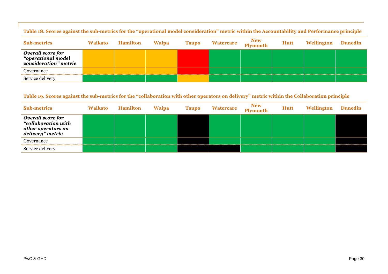| <b>Sub-metrics</b>                                               | <b>Waikato</b> | <b>Hamilton</b> | <b>Waipa</b> | <b>Taupo</b> | <b>Watercare</b> | New<br>Plymouth | Hutt | Wellington | <b>Dunedin</b> |
|------------------------------------------------------------------|----------------|-----------------|--------------|--------------|------------------|-----------------|------|------------|----------------|
| Overall score for<br>"operational model<br>consideration" metric |                |                 |              |              |                  |                 |      |            |                |
| Governance                                                       |                |                 |              |              |                  |                 |      |            |                |
| Service delivery                                                 |                |                 |              |              |                  |                 |      |            |                |

**Table 18. Scores against the sub-metrics for the "operational model consideration" metric within the Accountability and Performance principle**

#### **Table 19. Scores against the sub-metrics for the "collaboration with other operators on delivery" metric within the Collaboration principle**

| <b>Sub-metrics</b>                                                                 | <b>Waikato</b> | <b>Hamilton</b> | <b>Waipa</b> | <b>Taupo</b> | <b>Watercare</b> | New<br>Plymouth | <b>Hutt</b> | Wellington | <b>Dunedin</b> |
|------------------------------------------------------------------------------------|----------------|-----------------|--------------|--------------|------------------|-----------------|-------------|------------|----------------|
| Overall score for<br>"collaboration with<br>other operators on<br>delivery" metric |                |                 |              |              |                  |                 |             |            |                |
| Governance                                                                         |                |                 |              |              |                  |                 |             |            |                |
| Service delivery                                                                   |                |                 |              |              |                  |                 |             |            |                |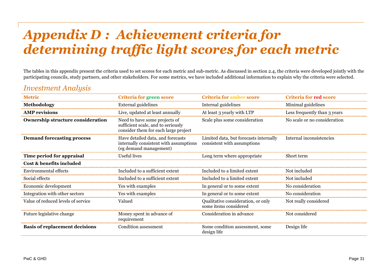## <span id="page-42-0"></span>*Appendix D : Achievement criteria for determining traffic light scores for each metric*

The tables in this appendix present the criteria used to set scores for each metric and sub-metric. As discussed in section [2.4](#page-15-1), the criteria were developed jointly with the participating councils, study partners, and other stakeholders. For some metrics, we have included additional information to explain why the criteria were selected.

### *Investment Analysis*

| <b>Metric</b>                         | Criteria for green score                                                                                    | <b>Criteria for amber score</b>                                       | <b>Criteria for red score</b> |
|---------------------------------------|-------------------------------------------------------------------------------------------------------------|-----------------------------------------------------------------------|-------------------------------|
| Methodology                           | External guidelines                                                                                         | Internal guidelines                                                   | Minimal guidelines            |
| <b>AMP</b> revisions                  | Live, updated at least annually                                                                             | At least 3 yearly with LTP                                            | Less frequently than 3 years  |
| Ownership structure consideration     | Need to have some projects of<br>sufficient scale, and to seriously<br>consider them for each large project | Scale plus some consideration                                         | No scale or no consideration  |
| <b>Demand forecasting process</b>     | Have detailed data, and forecasts<br>internally consistent with assumptions<br>(eg demand management)       | Limited data, but forecasts internally<br>consistent with assumptions | Internal inconsistencies      |
| Time period for appraisal             | Useful lives                                                                                                | Long term where appropriate                                           | Short term                    |
| Cost & benefits included              |                                                                                                             |                                                                       |                               |
| Environmental effects                 | Included to a sufficient extent                                                                             | Included to a limited extent                                          | Not included                  |
| Social effects                        | Included to a sufficient extent                                                                             | Included to a limited extent                                          | Not included                  |
| Economic development                  | Yes with examples                                                                                           | In general or to some extent                                          | No consideration              |
| Integration with other sectors        | Yes with examples                                                                                           | In general or to some extent                                          | No consideration              |
| Value of reduced levels of service    | Valued                                                                                                      | Qualitative consideration, or only<br>some items considered           | Not really considered         |
| Future legislative change             | Money spent in advance of<br>requirement                                                                    | Consideration in advance                                              | Not considered                |
| <b>Basis of replacement decisions</b> | Condition assessment                                                                                        | Some condition assessment, some<br>design life                        | Design life                   |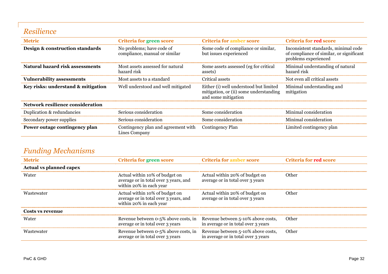## *Resilience*

| <b>Metric</b>                      | Criteria for green score                                   | <b>Criteria for amber score</b>                                                                         | <b>Criteria for red score</b>                                                                            |
|------------------------------------|------------------------------------------------------------|---------------------------------------------------------------------------------------------------------|----------------------------------------------------------------------------------------------------------|
| Design & construction standards    | No problems; have code of<br>compliance, manual or similar | Some code of compliance or similar,<br>but issues experienced                                           | Inconsistent standards, minimal code<br>of compliance of similar, or significant<br>problems experienced |
| Natural hazard risk assessments    | Most assets assessed for natural<br>hazard risk            | Some assets assessed (eg for critical<br>assets)                                                        | Minimal understanding of natural<br>hazard risk                                                          |
| <b>Vulnerability assessments</b>   | Most assets to a standard                                  | Critical assets                                                                                         | Not even all critical assets                                                                             |
| Key risks: understand & mitigation | Well understood and well mitigated                         | Either (i) well understood but limited<br>mitigation, or (ii) some understanding<br>and some mitigation | Minimal understanding and<br>mitigation                                                                  |
| Network resilience consideration   |                                                            |                                                                                                         |                                                                                                          |
| Duplication & redundancies         | Serious consideration                                      | Some consideration                                                                                      | Minimal consideration                                                                                    |
| Secondary power supplies           | Serious consideration                                      | Some consideration                                                                                      | Minimal consideration                                                                                    |
| Power outage contingency plan      | Contingency plan and agreement with<br>Lines Company       | <b>Contingency Plan</b>                                                                                 | Limited contingency plan                                                                                 |

## *Funding Mechanisms*

| <b>Metric</b>                  | <b>Criteria for green score</b>                                                                    | <b>Criteria for amber score</b>                                           | <b>Criteria for red score</b> |
|--------------------------------|----------------------------------------------------------------------------------------------------|---------------------------------------------------------------------------|-------------------------------|
| <b>Actual vs planned capex</b> |                                                                                                    |                                                                           |                               |
| Water                          | Actual within 10% of budget on<br>average or in total over 3 years, and<br>within 20% in each year | Actual within 20% of budget on<br>average or in total over 3 years        | Other                         |
| Wastewater                     | Actual within 10% of budget on<br>average or in total over 3 years, and<br>within 20% in each year | Actual within 20% of budget on<br>average or in total over 3 years        | Other                         |
| Costs vs revenue               |                                                                                                    |                                                                           |                               |
| Water                          | Revenue between 0-5% above costs, in<br>average or in total over 3 years                           | Revenue between 5-10% above costs,<br>in average or in total over 3 years | Other                         |
| Wastewater                     | Revenue between 0-5% above costs, in<br>average or in total over 3 years                           | Revenue between 5-10% above costs,<br>in average or in total over 3 years | Other                         |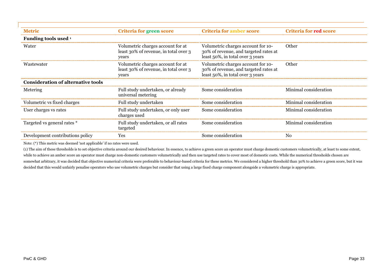| <b>Metric</b>                             | Criteria for green score                                                            | <b>Criteria for amber score</b>                                                                                 | <b>Criteria for red score</b> |
|-------------------------------------------|-------------------------------------------------------------------------------------|-----------------------------------------------------------------------------------------------------------------|-------------------------------|
| Funding tools used 1                      |                                                                                     |                                                                                                                 |                               |
| Water                                     | Volumetric charges account for at<br>least 30% of revenue, in total over 3<br>years | Volumetric charges account for 10-<br>30% of revenue, and targeted rates at<br>least 50%, in total over 3 years | Other                         |
| Wastewater                                | Volumetric charges account for at<br>least 30% of revenue, in total over 3<br>years | Volumetric charges account for 10-<br>30% of revenue, and targeted rates at<br>least 50%, in total over 3 years | Other                         |
| <b>Consideration of alternative tools</b> |                                                                                     |                                                                                                                 |                               |
| Metering                                  | Full study undertaken, or already<br>universal metering                             | Some consideration                                                                                              | Minimal consideration         |
| Volumetric vs fixed charges               | Full study undertaken                                                               | Some consideration                                                                                              | Minimal consideration         |
| User charges vs rates                     | Full study undertaken, or only user<br>charges used                                 | Some consideration                                                                                              | Minimal consideration         |
| Targeted vs general rates *               | Full study undertaken, or all rates<br>targeted                                     | Some consideration                                                                                              | Minimal consideration         |
| Development contributions policy          | Yes                                                                                 | Some consideration                                                                                              | No                            |

Note: (\*) This metric was deemed 'not applicable' if no rates were used.

(1) The aim of these thresholds is to set objective criteria around our desired behaviour. In essence, to achieve a green score an operator must charge domestic customers volumetrically, at least to some extent, while to achieve an amber score an operator must charge non-domestic customers volumetrically and then use targeted rates to cover most of domestic costs. While the numerical thresholds chosen are somewhat arbitrary, it was decided that objective numerical criteria were preferable to behaviour-based criteria for these metrics. We considered a higher threshold than 30% to achieve a green score, but it was decided that this would unfairly penalise operators who use volumetric charges but consider that using a large fixed charge component alongside a volumetric charge is appropriate.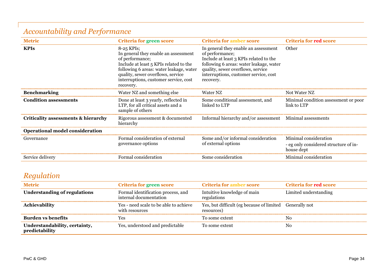| <b>Metric</b>                          | Criteria for green score                                                                                                                                                                                                                                | <b>Criteria for amber score</b>                                                                                                                                                                                                         | <b>Criteria for red score</b>                                                |
|----------------------------------------|---------------------------------------------------------------------------------------------------------------------------------------------------------------------------------------------------------------------------------------------------------|-----------------------------------------------------------------------------------------------------------------------------------------------------------------------------------------------------------------------------------------|------------------------------------------------------------------------------|
| <b>KPIs</b>                            | $8-25$ KPIs;<br>In general they enable an assessment<br>of performance;<br>Include at least 5 KPIs related to the<br>following 6 areas: water leakage, water<br>quality, sewer overflows, service<br>interruptions, customer service, cost<br>recovery. | In general they enable an assessment<br>of performance;<br>Include at least 3 KPIs related to the<br>following 6 areas: water leakage, water<br>quality, sewer overflows, service<br>interruptions, customer service, cost<br>recovery. | Other                                                                        |
| <b>Benchmarking</b>                    | Water NZ and something else                                                                                                                                                                                                                             | Water NZ                                                                                                                                                                                                                                | Not Water NZ                                                                 |
| <b>Condition assessments</b>           | Done at least 3 yearly, reflected in<br>LTP, for all critical assets and a<br>sample of others                                                                                                                                                          | Some conditional assessment, and<br>linked to LTP                                                                                                                                                                                       | Minimal condition assessment or poor<br>link to LTP                          |
| Criticality assessments & hierarchy    | Rigorous assessment & documented<br>hierarchy                                                                                                                                                                                                           | Informal hierarchy and/or assessment Minimal assessments                                                                                                                                                                                |                                                                              |
| <b>Operational model consideration</b> |                                                                                                                                                                                                                                                         |                                                                                                                                                                                                                                         |                                                                              |
| Governance                             | Formal consideration of external<br>governance options                                                                                                                                                                                                  | Some and/or informal consideration<br>of external options                                                                                                                                                                               | Minimal consideration<br>- eg only considered structure of in-<br>house dept |
| Service delivery                       | Formal consideration                                                                                                                                                                                                                                    | Some consideration                                                                                                                                                                                                                      | Minimal consideration                                                        |

## *Accountability and Performance*

## *Regulation*

| <b>Metric</b>                                   | <b>Criteria for green score</b>                              | <b>Criteria for amber score</b>                                       | <b>Criteria for red score</b> |
|-------------------------------------------------|--------------------------------------------------------------|-----------------------------------------------------------------------|-------------------------------|
| <b>Understanding of regulations</b>             | Formal identification process, and<br>internal documentation | Intuitive knowledge of main<br>regulations                            | Limited understanding         |
| Achievability                                   | Yes - need scale to be able to achieve<br>with resources     | Yes, but difficult (eg because of limited Generally not<br>resources) |                               |
| <b>Burden vs benefits</b>                       | Yes                                                          | To some extent                                                        | No                            |
| Understandability, certainty,<br>predictability | Yes, understood and predictable                              | To some extent                                                        | No                            |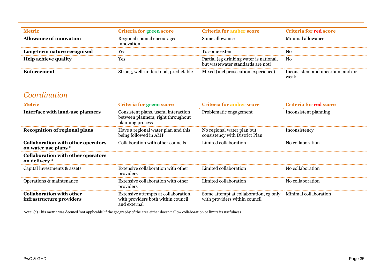| <b>Metric</b>               | <b>Criteria for green score</b>           | <b>Criteria for amber score</b>                                              | <b>Criteria for red score</b>              |
|-----------------------------|-------------------------------------------|------------------------------------------------------------------------------|--------------------------------------------|
| Allowance of innovation     | Regional council encourages<br>innovation | Some allowance                                                               | Minimal allowance                          |
| Long-term nature recognised | Yes                                       | To some extent                                                               | N0                                         |
| <b>Help achieve quality</b> | Yes                                       | Partial (eg drinking water is national,<br>but wastewater standards are not) | N <sub>0</sub>                             |
| Enforcement                 | Strong, well-understood, predictable      | Mixed (incl prosecution experience)                                          | Inconsistent and uncertain, and/or<br>weak |

## *Coordination*

| <b>Metric</b>                                                     | Criteria for green score                                                                       | <b>Criteria for amber score</b>                                         | Criteria for red score |
|-------------------------------------------------------------------|------------------------------------------------------------------------------------------------|-------------------------------------------------------------------------|------------------------|
| Interface with land-use planners                                  | Consistent plans, useful interaction<br>between planners; right throughout<br>planning process | Problematic engagement                                                  | Inconsistent planning  |
| <b>Recognition of regional plans</b>                              | Have a regional water plan and this<br>being followed in AMP                                   | No regional water plan but<br>consistency with District Plan            | Inconsistency          |
| <b>Collaboration with other operators</b><br>on water use plans * | Collaboration with other councils                                                              | Limited collaboration                                                   | No collaboration       |
| <b>Collaboration with other operators</b><br>on delivery *        |                                                                                                |                                                                         |                        |
| Capital investments & assets                                      | Extensive collaboration with other<br>providers                                                | Limited collaboration                                                   | No collaboration       |
| Operations & maintenance                                          | Extensive collaboration with other<br>providers                                                | Limited collaboration                                                   | No collaboration       |
| <b>Collaboration with other</b><br>infrastructure providers       | Extensive attempts at collaboration,<br>with providers both within council<br>and external     | Some attempt at collaboration, eg only<br>with providers within council | Minimal collaboration  |

Note: (\*) This metric was deemed 'not applicable' if the geography of the area either doesn't allow collaboration or limits its usefulness.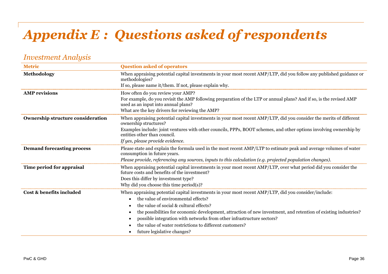## <span id="page-47-0"></span>*Appendix E : Questions asked of respondents*

### *Investment Analysis*

| <b>Metric</b>                            | <b>Question asked of operators</b>                                                                                                                               |
|------------------------------------------|------------------------------------------------------------------------------------------------------------------------------------------------------------------|
| Methodology                              | When appraising potential capital investments in your most recent AMP/LTP, did you follow any published guidance or<br>methodologies?                            |
|                                          | If so, please name it/them. If not, please explain why.                                                                                                          |
| <b>AMP</b> revisions                     | How often do you review your AMP?                                                                                                                                |
|                                          | For example, do you revisit the AMP following preparation of the LTP or annual plans? And if so, is the revised AMP<br>used as an input into annual plans?       |
|                                          | What are the key drivers for reviewing the AMP?                                                                                                                  |
| <b>Ownership structure consideration</b> | When appraising potential capital investments in your most recent AMP/LTP, did you consider the merits of different<br>ownership structures?                     |
|                                          | Examples include: joint ventures with other councils, PPPs, BOOT schemes, and other options involving ownership by<br>entities other than council.               |
|                                          | If yes, please provide evidence.                                                                                                                                 |
| <b>Demand forecasting process</b>        | Please state and explain the formula used in the most recent AMP/LTP to estimate peak and average volumes of water<br>consumption in future years.               |
|                                          | Please provide, referencing any sources, inputs to this calculation (e.g. projected population changes).                                                         |
| Time period for appraisal                | When appraising potential capital investments in your most recent AMP/LTP, over what period did you consider the<br>future costs and benefits of the investment? |
|                                          | Does this differ by investment type?                                                                                                                             |
|                                          | Why did you choose this time period(s)?                                                                                                                          |
| Cost & benefits included                 | When appraising potential capital investments in your most recent AMP/LTP, did you consider/include:                                                             |
|                                          | the value of environmental effects?                                                                                                                              |
|                                          | the value of social & cultural effects?                                                                                                                          |
|                                          | the possibilities for economic development, attraction of new investment, and retention of existing industries?                                                  |
|                                          | possible integration with networks from other infrastructure sectors?                                                                                            |
|                                          | the value of water restrictions to different customers?                                                                                                          |
|                                          | future legislative changes?                                                                                                                                      |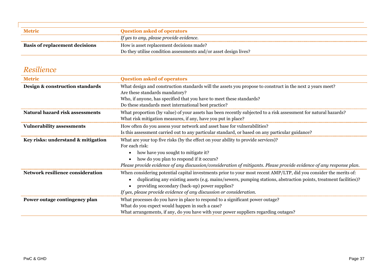| <b>Metric</b>                         | <b>Ouestion asked of operators</b>                               |
|---------------------------------------|------------------------------------------------------------------|
|                                       | If yes to any, please provide evidence.                          |
| <b>Basis of replacement decisions</b> | How is asset replacement decisions made?                         |
|                                       | Do they utilise condition assessments and/or asset design lives? |

## *Resilience*

| <b>Metric</b>                      | <b>Question asked of operators</b>                                                                                                                                                                                                                                                                                                                                         |  |
|------------------------------------|----------------------------------------------------------------------------------------------------------------------------------------------------------------------------------------------------------------------------------------------------------------------------------------------------------------------------------------------------------------------------|--|
| Design & construction standards    | What design and construction standards will the assets you propose to construct in the next 2 years meet?<br>Are these standards mandatory?<br>Who, if anyone, has specified that you have to meet these standards?                                                                                                                                                        |  |
|                                    | Do these standards meet international best practice?                                                                                                                                                                                                                                                                                                                       |  |
| Natural hazard risk assessments    | What proportion (by value) of your assets has been recently subjected to a risk assessment for natural hazards?<br>What risk mitigation measures, if any, have you put in place?                                                                                                                                                                                           |  |
| <b>Vulnerability assessments</b>   | How often do you assess your network and asset base for vulnerabilities?                                                                                                                                                                                                                                                                                                   |  |
|                                    | Is this assessment carried out to any particular standard, or based on any particular guidance?                                                                                                                                                                                                                                                                            |  |
| Key risks: understand & mitigation | What are your top five risks (by the effect on your ability to provide services)?<br>For each risk:<br>how have you sought to mitigate it?<br>$\bullet$<br>how do you plan to respond if it occurs?<br>Please provide evidence of any discussion/consideration of mitigants. Please provide evidence of any response plan.                                                 |  |
| Network resilience consideration   | When considering potential capital investments prior to your most recent AMP/LTP, did you consider the merits of:<br>duplicating any existing assets (e.g. mains/sewers, pumping stations, abstraction points, treatment facilities)?<br>$\bullet$<br>providing secondary (back-up) power supplies?<br>If yes, please provide evidence of any discussion or consideration. |  |
| Power outage contingency plan      | What processes do you have in place to respond to a significant power outage?<br>What do you expect would happen in such a case?<br>What arrangements, if any, do you have with your power suppliers regarding outages?                                                                                                                                                    |  |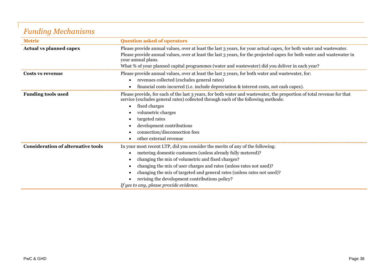## *Funding Mechanisms*

| <b>Metric</b>                             | <b>Question asked of operators</b>                                                                                                                                                                                                            |  |
|-------------------------------------------|-----------------------------------------------------------------------------------------------------------------------------------------------------------------------------------------------------------------------------------------------|--|
| <b>Actual vs planned capex</b>            | Please provide annual values, over at least the last 3 years, for your actual capex, for both water and wastewater.<br>Please provide annual values, over at least the last 3 years, for the projected capex for both water and wastewater in |  |
|                                           | your annual plans.                                                                                                                                                                                                                            |  |
|                                           | What % of your planned capital programmes (water and wastewater) did you deliver in each year?                                                                                                                                                |  |
| Costs vs revenue                          | Please provide annual values, over at least the last 3 years, for both water and wastewater, for:                                                                                                                                             |  |
|                                           | revenues collected (excludes general rates)<br>$\bullet$                                                                                                                                                                                      |  |
|                                           | financial costs incurred (i.e. include depreciation & interest costs, not cash capex).                                                                                                                                                        |  |
| <b>Funding tools used</b>                 | Please provide, for each of the last 3 years, for both water and wastewater, the proportion of total revenue for that<br>service (excludes general rates) collected through each of the following methods:                                    |  |
|                                           | fixed charges<br>$\bullet$                                                                                                                                                                                                                    |  |
|                                           | volumetric charges                                                                                                                                                                                                                            |  |
|                                           | targeted rates                                                                                                                                                                                                                                |  |
|                                           | development contributions<br>$\bullet$                                                                                                                                                                                                        |  |
|                                           | connection/disconnection fees                                                                                                                                                                                                                 |  |
|                                           | other external revenue                                                                                                                                                                                                                        |  |
| <b>Consideration of alternative tools</b> | In your most recent LTP, did you consider the merits of any of the following:                                                                                                                                                                 |  |
|                                           | metering domestic customers (unless already fully metered)?                                                                                                                                                                                   |  |
|                                           | changing the mix of volumetric and fixed charges?<br>$\bullet$                                                                                                                                                                                |  |
|                                           | changing the mix of user charges and rates (unless rates not used)?<br>$\bullet$                                                                                                                                                              |  |
|                                           | changing the mix of targeted and general rates (unless rates not used)?                                                                                                                                                                       |  |
|                                           | revising the development contributions policy?                                                                                                                                                                                                |  |
|                                           | If yes to any, please provide evidence.                                                                                                                                                                                                       |  |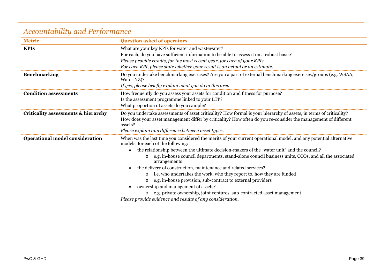## *Accountability and Performance*

| <b>Metric</b>                          | <b>Question asked of operators</b>                                                                                                                                                                                                               |  |  |
|----------------------------------------|--------------------------------------------------------------------------------------------------------------------------------------------------------------------------------------------------------------------------------------------------|--|--|
| <b>KPIs</b>                            | What are your key KPIs for water and wastewater?                                                                                                                                                                                                 |  |  |
|                                        | For each, do you have sufficient information to be able to assess it on a robust basis?                                                                                                                                                          |  |  |
|                                        | Please provide results, for the most recent year, for each of your KPIs.                                                                                                                                                                         |  |  |
|                                        | For each KPI, please state whether your result is an actual or an estimate.                                                                                                                                                                      |  |  |
| <b>Benchmarking</b>                    | Do you undertake benchmarking exercises? Are you a part of external benchmarking exercises/groups (e.g. WSAA,<br>Water NZ)?                                                                                                                      |  |  |
|                                        | If yes, please briefly explain what you do in this area.                                                                                                                                                                                         |  |  |
| <b>Condition assessments</b>           | How frequently do you assess your assets for condition and fitness for purpose?                                                                                                                                                                  |  |  |
|                                        | Is the assessment programme linked to your LTP?                                                                                                                                                                                                  |  |  |
|                                        | What proportion of assets do you sample?                                                                                                                                                                                                         |  |  |
| Criticality assessments & hierarchy    | Do you undertake assessments of asset criticality? How formal is your hierarchy of assets, in terms of criticality?<br>How does your asset management differ by criticality? How often do you re-consider the management of different<br>assets? |  |  |
|                                        | Please explain any difference between asset types.                                                                                                                                                                                               |  |  |
| <b>Operational model consideration</b> | When was the last time you considered the merits of your current operational model, and any potential alternative<br>models, for each of the following:                                                                                          |  |  |
|                                        | the relationship between the ultimate decision-makers of the "water unit" and the council?                                                                                                                                                       |  |  |
|                                        | e.g. in-house council departments, stand-alone council business units, CCOs, and all the associated<br>$\circ$<br>arrangements                                                                                                                   |  |  |
|                                        | the delivery of construction, maintenance and related services?<br>$\bullet$                                                                                                                                                                     |  |  |
|                                        | i.e. who undertakes the work, who they report to, how they are funded<br>$\circ$                                                                                                                                                                 |  |  |
|                                        | e.g. in-house provision, sub-contract to external providers                                                                                                                                                                                      |  |  |
|                                        | ownership and management of assets?<br>$\bullet$                                                                                                                                                                                                 |  |  |
|                                        | e.g. private ownership, joint ventures, sub-contracted asset management<br>$\circ$                                                                                                                                                               |  |  |
|                                        | Please provide evidence and results of any consideration.                                                                                                                                                                                        |  |  |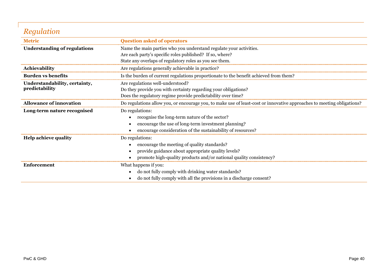## *Regulation*

| <b>Metric</b>                       | <b>Question asked of operators</b>                                                                                     |
|-------------------------------------|------------------------------------------------------------------------------------------------------------------------|
| <b>Understanding of regulations</b> | Name the main parties who you understand regulate your activities.                                                     |
|                                     | Are each party's specific roles published? If so, where?                                                               |
|                                     | State any overlaps of regulatory roles as you see them.                                                                |
| Achievability                       | Are regulations generally achievable in practice?                                                                      |
| <b>Burden vs benefits</b>           | Is the burden of current regulations proportionate to the benefit achieved from them?                                  |
| Understandability, certainty,       | Are regulations well-understood?                                                                                       |
| predictability                      | Do they provide you with certainty regarding your obligations?                                                         |
|                                     | Does the regulatory regime provide predictability over time?                                                           |
| <b>Allowance of innovation</b>      | Do regulations allow you, or encourage you, to make use of least-cost or innovative approaches to meeting obligations? |
| Long-term nature recognised         | Do regulations:                                                                                                        |
|                                     | recognise the long-term nature of the sector?<br>$\bullet$                                                             |
|                                     | encourage the use of long-term investment planning?<br>$\bullet$                                                       |
|                                     | encourage consideration of the sustainability of resources?                                                            |
| <b>Help achieve quality</b>         | Do regulations:                                                                                                        |
|                                     | encourage the meeting of quality standards?<br>$\bullet$                                                               |
|                                     | provide guidance about appropriate quality levels?<br>$\bullet$                                                        |
|                                     | promote high-quality products and/or national quality consistency?                                                     |
| Enforcement                         | What happens if you:                                                                                                   |
|                                     | do not fully comply with drinking water standards?<br>$\bullet$                                                        |
|                                     | do not fully comply with all the provisions in a discharge consent?<br>$\bullet$                                       |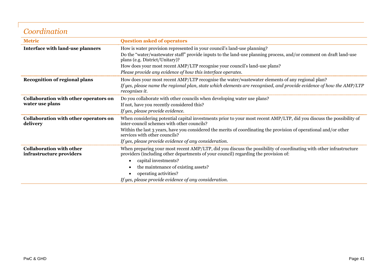## *Coordination*

| <b>Metric</b>                                               | <b>Question asked of operators</b>                                                                                                                                                                        |
|-------------------------------------------------------------|-----------------------------------------------------------------------------------------------------------------------------------------------------------------------------------------------------------|
| <b>Interface with land-use planners</b>                     | How is water provision represented in your council's land-use planning?                                                                                                                                   |
|                                                             | Do the "water/wastewater staff" provide inputs to the land-use planning process, and/or comment on draft land-use<br>plans (e.g. District/Unitary)?                                                       |
|                                                             | How does your most recent AMP/LTP recognise your council's land-use plans?                                                                                                                                |
|                                                             | Please provide any evidence of how this interface operates.                                                                                                                                               |
| Recognition of regional plans                               | How does your most recent AMP/LTP recognise the water/wastewater elements of any regional plan?                                                                                                           |
|                                                             | If yes, please name the regional plan, state which elements are recognised, and provide evidence of how the AMP/LTP<br>recognises it.                                                                     |
| Collaboration with other operators on<br>water use plans    | Do you collaborate with other councils when developing water use plans?                                                                                                                                   |
|                                                             | If not, have you recently considered this?                                                                                                                                                                |
|                                                             | If yes, please provide evidence.                                                                                                                                                                          |
| Collaboration with other operators on<br>delivery           | When considering potential capital investments prior to your most recent AMP/LTP, did you discuss the possibility of<br>inter-council schemes with other councils?                                        |
|                                                             | Within the last 3 years, have you considered the merits of coordinating the provision of operational and/or other<br>services with other councils?                                                        |
|                                                             | If yes, please provide evidence of any consideration.                                                                                                                                                     |
| <b>Collaboration with other</b><br>infrastructure providers | When preparing your most recent AMP/LTP, did you discuss the possibility of coordinating with other infrastructure<br>providers (including other departments of your council) regarding the provision of: |
|                                                             | capital investments?<br>$\bullet$                                                                                                                                                                         |
|                                                             | the maintenance of existing assets?                                                                                                                                                                       |
|                                                             | operating activities?                                                                                                                                                                                     |
|                                                             | If yes, please provide evidence of any consideration.                                                                                                                                                     |